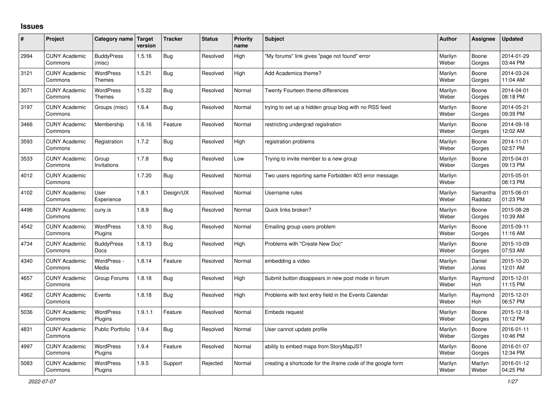## **Issues**

| #    | Project                         | Category name Target              | version | <b>Tracker</b> | <b>Status</b> | <b>Priority</b><br>name | <b>Subject</b>                                              | <b>Author</b>    | Assignee              | <b>Updated</b>         |
|------|---------------------------------|-----------------------------------|---------|----------------|---------------|-------------------------|-------------------------------------------------------------|------------------|-----------------------|------------------------|
| 2994 | <b>CUNY Academic</b><br>Commons | <b>BuddyPress</b><br>(misc)       | 1.5.16  | Bug            | Resolved      | High                    | "My forums" link gives "page not found" error               | Marilyn<br>Weber | Boone<br>Gorges       | 2014-01-29<br>03:44 PM |
| 3121 | <b>CUNY Academic</b><br>Commons | WordPress<br><b>Themes</b>        | 1.5.21  | Bug            | Resolved      | High                    | Add Academica theme?                                        | Marilyn<br>Weber | Boone<br>Gorges       | 2014-03-24<br>11:04 AM |
| 3071 | <b>CUNY Academic</b><br>Commons | <b>WordPress</b><br><b>Themes</b> | 1.5.22  | Bug            | Resolved      | Normal                  | Twenty Fourteen theme differences                           | Marilyn<br>Weber | Boone<br>Gorges       | 2014-04-01<br>08:18 PM |
| 3197 | <b>CUNY Academic</b><br>Commons | Groups (misc)                     | 1.6.4   | <b>Bug</b>     | Resolved      | Normal                  | trying to set up a hidden group blog with no RSS feed       | Marilyn<br>Weber | Boone<br>Gorges       | 2014-05-21<br>09:39 PM |
| 3466 | <b>CUNY Academic</b><br>Commons | Membership                        | 1.6.16  | Feature        | Resolved      | Normal                  | restricting undergrad registration                          | Marilyn<br>Weber | Boone<br>Gorges       | 2014-09-18<br>12:02 AM |
| 3593 | <b>CUNY Academic</b><br>Commons | Registration                      | 1.7.2   | Bug            | Resolved      | High                    | registration problems                                       | Marilyn<br>Weber | Boone<br>Gorges       | 2014-11-01<br>02:57 PM |
| 3533 | <b>CUNY Academic</b><br>Commons | Group<br>Invitations              | 1.7.8   | Bug            | Resolved      | Low                     | Trying to invite member to a new group                      | Marilyn<br>Weber | Boone<br>Gorges       | 2015-04-01<br>09:13 PM |
| 4012 | <b>CUNY Academic</b><br>Commons |                                   | 1.7.20  | <b>Bug</b>     | Resolved      | Normal                  | Two users reporting same Forbidden 403 error message.       | Marilyn<br>Weber |                       | 2015-05-01<br>08:13 PM |
| 4102 | <b>CUNY Academic</b><br>Commons | User<br>Experience                | 1.8.1   | Design/UX      | Resolved      | Normal                  | Username rules                                              | Marilyn<br>Weber | Samantha<br>Raddatz   | 2015-06-01<br>01:23 PM |
| 4496 | <b>CUNY Academic</b><br>Commons | cuny.is                           | 1.8.9   | Bug            | Resolved      | Normal                  | Quick links broken?                                         | Marilyn<br>Weber | Boone<br>Gorges       | 2015-08-28<br>10:39 AM |
| 4542 | <b>CUNY Academic</b><br>Commons | <b>WordPress</b><br>Plugins       | 1.8.10  | Bug            | Resolved      | Normal                  | Emailing group users problem                                | Marilyn<br>Weber | Boone<br>Gorges       | 2015-09-11<br>11:16 AM |
| 4734 | <b>CUNY Academic</b><br>Commons | <b>BuddyPress</b><br><b>Docs</b>  | 1.8.13  | <b>Bug</b>     | Resolved      | High                    | Problems with "Create New Doc"                              | Marilyn<br>Weber | Boone<br>Gorges       | 2015-10-09<br>07:53 AM |
| 4340 | <b>CUNY Academic</b><br>Commons | WordPress -<br>Media              | 1.8.14  | Feature        | Resolved      | Normal                  | embedding a video                                           | Marilyn<br>Weber | Daniel<br>Jones       | 2015-10-20<br>12:01 AM |
| 4657 | <b>CUNY Academic</b><br>Commons | Group Forums                      | 1.8.18  | Bug            | Resolved      | High                    | Submit button disappears in new post mode in forum          | Marilyn<br>Weber | Raymond<br>Hoh        | 2015-12-01<br>11:15 PM |
| 4962 | <b>CUNY Academic</b><br>Commons | Events                            | 1.8.18  | <b>Bug</b>     | Resolved      | High                    | Problems with text entry field in the Events Calendar       | Marilyn<br>Weber | Raymond<br><b>Hoh</b> | 2015-12-01<br>06:57 PM |
| 5036 | <b>CUNY Academic</b><br>Commons | <b>WordPress</b><br>Plugins       | 1.9.1.1 | Feature        | Resolved      | Normal                  | <b>Embeds request</b>                                       | Marilyn<br>Weber | Boone<br>Gorges       | 2015-12-18<br>10:12 PM |
| 4831 | <b>CUNY Academic</b><br>Commons | <b>Public Portfolio</b>           | 1.9.4   | <b>Bug</b>     | Resolved      | Normal                  | User cannot update profile                                  | Marilyn<br>Weber | Boone<br>Gorges       | 2016-01-11<br>10:46 PM |
| 4997 | <b>CUNY Academic</b><br>Commons | WordPress<br>Plugins              | 1.9.4   | Feature        | Resolved      | Normal                  | ability to embed maps from StoryMapJS?                      | Marilyn<br>Weber | Boone<br>Gorges       | 2016-01-07<br>12:34 PM |
| 5083 | <b>CUNY Academic</b><br>Commons | <b>WordPress</b><br>Plugins       | 1.9.5   | Support        | Rejected      | Normal                  | creating a shortcode for the iframe code of the google form | Marilyn<br>Weber | Marilyn<br>Weber      | 2016-01-12<br>04:25 PM |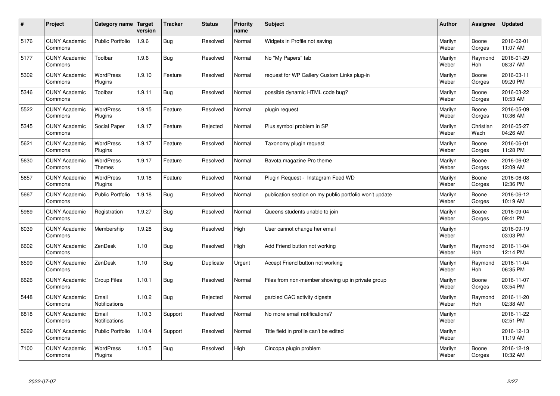| $\sharp$ | Project                         | Category name   Target            | version | <b>Tracker</b> | <b>Status</b> | <b>Priority</b><br>name | <b>Subject</b>                                          | <b>Author</b>    | Assignee              | <b>Updated</b>         |
|----------|---------------------------------|-----------------------------------|---------|----------------|---------------|-------------------------|---------------------------------------------------------|------------------|-----------------------|------------------------|
| 5176     | <b>CUNY Academic</b><br>Commons | <b>Public Portfolio</b>           | 1.9.6   | Bug            | Resolved      | Normal                  | Widgets in Profile not saving                           | Marilyn<br>Weber | Boone<br>Gorges       | 2016-02-01<br>11:07 AM |
| 5177     | <b>CUNY Academic</b><br>Commons | Toolbar                           | 1.9.6   | Bug            | Resolved      | Normal                  | No "My Papers" tab                                      | Marilyn<br>Weber | Raymond<br><b>Hoh</b> | 2016-01-29<br>08:37 AM |
| 5302     | <b>CUNY Academic</b><br>Commons | <b>WordPress</b><br>Plugins       | 1.9.10  | Feature        | Resolved      | Normal                  | request for WP Gallery Custom Links plug-in             | Marilyn<br>Weber | Boone<br>Gorges       | 2016-03-11<br>09:20 PM |
| 5346     | <b>CUNY Academic</b><br>Commons | Toolbar                           | 1.9.11  | <b>Bug</b>     | Resolved      | Normal                  | possible dynamic HTML code bug?                         | Marilyn<br>Weber | Boone<br>Gorges       | 2016-03-22<br>10:53 AM |
| 5522     | <b>CUNY Academic</b><br>Commons | <b>WordPress</b><br>Plugins       | 1.9.15  | Feature        | Resolved      | Normal                  | plugin request                                          | Marilyn<br>Weber | Boone<br>Gorges       | 2016-05-09<br>10:36 AM |
| 5345     | <b>CUNY Academic</b><br>Commons | Social Paper                      | 1.9.17  | Feature        | Rejected      | Normal                  | Plus symbol problem in SP                               | Marilyn<br>Weber | Christian<br>Wach     | 2016-05-27<br>04:26 AM |
| 5621     | <b>CUNY Academic</b><br>Commons | WordPress<br>Plugins              | 1.9.17  | Feature        | Resolved      | Normal                  | Taxonomy plugin request                                 | Marilyn<br>Weber | Boone<br>Gorges       | 2016-06-01<br>11:28 PM |
| 5630     | <b>CUNY Academic</b><br>Commons | <b>WordPress</b><br><b>Themes</b> | 1.9.17  | Feature        | Resolved      | Normal                  | Bavota magazine Pro theme                               | Marilyn<br>Weber | Boone<br>Gorges       | 2016-06-02<br>12:09 AM |
| 5657     | <b>CUNY Academic</b><br>Commons | <b>WordPress</b><br>Plugins       | 1.9.18  | Feature        | Resolved      | Normal                  | Plugin Request - Instagram Feed WD                      | Marilyn<br>Weber | Boone<br>Gorges       | 2016-06-08<br>12:36 PM |
| 5667     | <b>CUNY Academic</b><br>Commons | Public Portfolio                  | 1.9.18  | Bug            | Resolved      | Normal                  | publication section on my public portfolio won't update | Marilyn<br>Weber | Boone<br>Gorges       | 2016-06-12<br>10:19 AM |
| 5969     | <b>CUNY Academic</b><br>Commons | Registration                      | 1.9.27  | <b>Bug</b>     | Resolved      | Normal                  | Queens students unable to join                          | Marilyn<br>Weber | Boone<br>Gorges       | 2016-09-04<br>09:41 PM |
| 6039     | <b>CUNY Academic</b><br>Commons | Membership                        | 1.9.28  | Bug            | Resolved      | High                    | User cannot change her email                            | Marilyn<br>Weber |                       | 2016-09-19<br>03:03 PM |
| 6602     | <b>CUNY Academic</b><br>Commons | ZenDesk                           | 1.10    | Bug            | Resolved      | High                    | Add Friend button not working                           | Marilyn<br>Weber | Raymond<br>Hoh        | 2016-11-04<br>12:14 PM |
| 6599     | <b>CUNY Academic</b><br>Commons | ZenDesk                           | 1.10    | <b>Bug</b>     | Duplicate     | Urgent                  | Accept Friend button not working                        | Marilyn<br>Weber | Raymond<br><b>Hoh</b> | 2016-11-04<br>06:35 PM |
| 6626     | <b>CUNY Academic</b><br>Commons | Group Files                       | 1.10.1  | <b>Bug</b>     | Resolved      | Normal                  | Files from non-member showing up in private group       | Marilyn<br>Weber | Boone<br>Gorges       | 2016-11-07<br>03:54 PM |
| 5448     | <b>CUNY Academic</b><br>Commons | Email<br>Notifications            | 1.10.2  | <b>Bug</b>     | Rejected      | Normal                  | garbled CAC activity digests                            | Marilyn<br>Weber | Raymond<br><b>Hoh</b> | 2016-11-20<br>02:38 AM |
| 6818     | <b>CUNY Academic</b><br>Commons | Email<br><b>Notifications</b>     | 1.10.3  | Support        | Resolved      | Normal                  | No more email notifications?                            | Marilyn<br>Weber |                       | 2016-11-22<br>02:51 PM |
| 5629     | <b>CUNY Academic</b><br>Commons | Public Portfolio                  | 1.10.4  | Support        | Resolved      | Normal                  | Title field in profile can't be edited                  | Marilyn<br>Weber |                       | 2016-12-13<br>11:19 AM |
| 7100     | <b>CUNY Academic</b><br>Commons | <b>WordPress</b><br>Plugins       | 1.10.5  | Bug            | Resolved      | High                    | Cincopa plugin problem                                  | Marilyn<br>Weber | Boone<br>Gorges       | 2016-12-19<br>10:32 AM |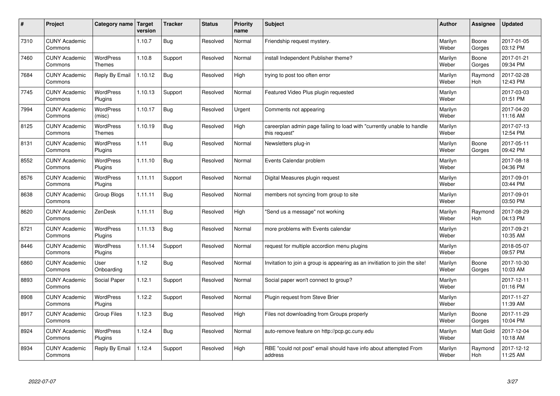| #    | Project                         | Category name   Target            | version | <b>Tracker</b> | <b>Status</b> | <b>Priority</b><br>name | <b>Subject</b>                                                                          | <b>Author</b>    | <b>Assignee</b> | <b>Updated</b>         |
|------|---------------------------------|-----------------------------------|---------|----------------|---------------|-------------------------|-----------------------------------------------------------------------------------------|------------------|-----------------|------------------------|
| 7310 | <b>CUNY Academic</b><br>Commons |                                   | 1.10.7  | Bug            | Resolved      | Normal                  | Friendship request mystery.                                                             | Marilyn<br>Weber | Boone<br>Gorges | 2017-01-05<br>03:12 PM |
| 7460 | <b>CUNY Academic</b><br>Commons | <b>WordPress</b><br><b>Themes</b> | 1.10.8  | Support        | Resolved      | Normal                  | install Independent Publisher theme?                                                    | Marilyn<br>Weber | Boone<br>Gorges | 2017-01-21<br>09:34 PM |
| 7684 | <b>CUNY Academic</b><br>Commons | Reply By Email                    | 1.10.12 | <b>Bug</b>     | Resolved      | High                    | trying to post too often error                                                          | Marilyn<br>Weber | Raymond<br>Hoh  | 2017-02-28<br>12:43 PM |
| 7745 | <b>CUNY Academic</b><br>Commons | <b>WordPress</b><br>Plugins       | 1.10.13 | Support        | Resolved      | Normal                  | Featured Video Plus plugin requested                                                    | Marilyn<br>Weber |                 | 2017-03-03<br>01:51 PM |
| 7994 | <b>CUNY Academic</b><br>Commons | WordPress<br>(misc)               | 1.10.17 | Bug            | Resolved      | Urgent                  | Comments not appearing                                                                  | Marilyn<br>Weber |                 | 2017-04-20<br>11:16 AM |
| 8125 | <b>CUNY Academic</b><br>Commons | <b>WordPress</b><br><b>Themes</b> | 1.10.19 | <b>Bug</b>     | Resolved      | High                    | careerplan admin page failing to load with "currently unable to handle<br>this request" | Marilyn<br>Weber |                 | 2017-07-13<br>12:54 PM |
| 8131 | <b>CUNY Academic</b><br>Commons | WordPress<br>Plugins              | 1.11    | Bug            | Resolved      | Normal                  | Newsletters plug-in                                                                     | Marilyn<br>Weber | Boone<br>Gorges | 2017-05-11<br>09:42 PM |
| 8552 | <b>CUNY Academic</b><br>Commons | WordPress<br>Plugins              | 1.11.10 | Bug            | Resolved      | Normal                  | Events Calendar problem                                                                 | Marilyn<br>Weber |                 | 2017-08-18<br>04:36 PM |
| 8576 | <b>CUNY Academic</b><br>Commons | WordPress<br>Plugins              | 1.11.11 | Support        | Resolved      | Normal                  | Digital Measures plugin request                                                         | Marilyn<br>Weber |                 | 2017-09-01<br>03:44 PM |
| 8638 | <b>CUNY Academic</b><br>Commons | Group Blogs                       | 1.11.11 | Bug            | Resolved      | Normal                  | members not syncing from group to site                                                  | Marilyn<br>Weber |                 | 2017-09-01<br>03:50 PM |
| 8620 | <b>CUNY Academic</b><br>Commons | ZenDesk                           | 1.11.11 | <b>Bug</b>     | Resolved      | High                    | 'Send us a message" not working                                                         | Marilyn<br>Weber | Raymond<br>Hoh  | 2017-08-29<br>04:13 PM |
| 8721 | <b>CUNY Academic</b><br>Commons | WordPress<br>Plugins              | 1.11.13 | Bug            | Resolved      | Normal                  | more problems with Events calendar                                                      | Marilyn<br>Weber |                 | 2017-09-21<br>10:35 AM |
| 8446 | <b>CUNY Academic</b><br>Commons | WordPress<br>Plugins              | 1.11.14 | Support        | Resolved      | Normal                  | request for multiple accordion menu plugins                                             | Marilyn<br>Weber |                 | 2018-05-07<br>09:57 PM |
| 6860 | <b>CUNY Academic</b><br>Commons | User<br>Onboarding                | 1.12    | Bug            | Resolved      | Normal                  | Invitation to join a group is appearing as an invitiation to join the site!             | Marilyn<br>Weber | Boone<br>Gorges | 2017-10-30<br>10:03 AM |
| 8893 | <b>CUNY Academic</b><br>Commons | Social Paper                      | 1.12.1  | Support        | Resolved      | Normal                  | Social paper won't connect to group?                                                    | Marilyn<br>Weber |                 | 2017-12-11<br>01:16 PM |
| 8908 | <b>CUNY Academic</b><br>Commons | WordPress<br>Plugins              | 1.12.2  | Support        | Resolved      | Normal                  | Plugin request from Steve Brier                                                         | Marilyn<br>Weber |                 | 2017-11-27<br>11:39 AM |
| 8917 | <b>CUNY Academic</b><br>Commons | <b>Group Files</b>                | 1.12.3  | <b>Bug</b>     | Resolved      | High                    | Files not downloading from Groups properly                                              | Marilyn<br>Weber | Boone<br>Gorges | 2017-11-29<br>10:04 PM |
| 8924 | <b>CUNY Academic</b><br>Commons | WordPress<br>Plugins              | 1.12.4  | Bug            | Resolved      | Normal                  | auto-remove feature on http://pcp.gc.cuny.edu                                           | Marilyn<br>Weber | Matt Gold       | 2017-12-04<br>10:18 AM |
| 8934 | <b>CUNY Academic</b><br>Commons | Reply By Email                    | 1.12.4  | Support        | Resolved      | High                    | RBE "could not post" email should have info about attempted From<br>address             | Marilyn<br>Weber | Raymond<br>Hoh  | 2017-12-12<br>11:25 AM |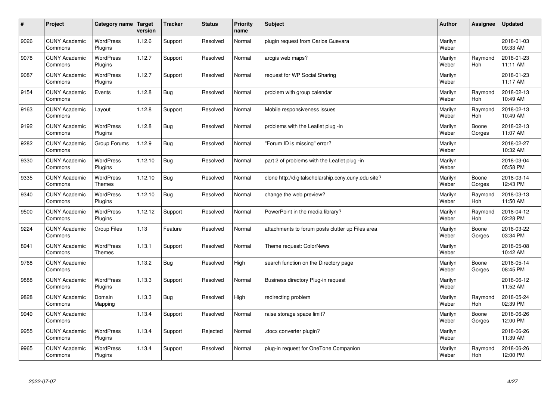| $\sharp$ | Project                         | Category name                     | Target<br>version | <b>Tracker</b> | <b>Status</b> | <b>Priority</b><br>name | <b>Subject</b>                                      | <b>Author</b>    | Assignee              | <b>Updated</b>         |
|----------|---------------------------------|-----------------------------------|-------------------|----------------|---------------|-------------------------|-----------------------------------------------------|------------------|-----------------------|------------------------|
| 9026     | <b>CUNY Academic</b><br>Commons | <b>WordPress</b><br>Plugins       | 1.12.6            | Support        | Resolved      | Normal                  | plugin request from Carlos Guevara                  | Marilyn<br>Weber |                       | 2018-01-03<br>09:33 AM |
| 9078     | <b>CUNY Academic</b><br>Commons | <b>WordPress</b><br>Plugins       | 1.12.7            | Support        | Resolved      | Normal                  | arcgis web maps?                                    | Marilyn<br>Weber | Raymond<br>Hoh        | 2018-01-23<br>11:11 AM |
| 9087     | <b>CUNY Academic</b><br>Commons | <b>WordPress</b><br>Plugins       | 1.12.7            | Support        | Resolved      | Normal                  | request for WP Social Sharing                       | Marilyn<br>Weber |                       | 2018-01-23<br>11:17 AM |
| 9154     | <b>CUNY Academic</b><br>Commons | Events                            | 1.12.8            | <b>Bug</b>     | Resolved      | Normal                  | problem with group calendar                         | Marilyn<br>Weber | Raymond<br><b>Hoh</b> | 2018-02-13<br>10:49 AM |
| 9163     | <b>CUNY Academic</b><br>Commons | Layout                            | 1.12.8            | Support        | Resolved      | Normal                  | Mobile responsiveness issues                        | Marilyn<br>Weber | Raymond<br>Hoh        | 2018-02-13<br>10:49 AM |
| 9192     | <b>CUNY Academic</b><br>Commons | WordPress<br>Plugins              | 1.12.8            | <b>Bug</b>     | Resolved      | Normal                  | problems with the Leaflet plug -in                  | Marilyn<br>Weber | Boone<br>Gorges       | 2018-02-13<br>11:07 AM |
| 9282     | <b>CUNY Academic</b><br>Commons | Group Forums                      | 1.12.9            | Bug            | Resolved      | Normal                  | 'Forum ID is missing" error?                        | Marilyn<br>Weber |                       | 2018-02-27<br>10:32 AM |
| 9330     | <b>CUNY Academic</b><br>Commons | WordPress<br>Plugins              | 1.12.10           | Bug            | Resolved      | Normal                  | part 2 of problems with the Leaflet plug -in        | Marilyn<br>Weber |                       | 2018-03-04<br>05:58 PM |
| 9335     | <b>CUNY Academic</b><br>Commons | <b>WordPress</b><br><b>Themes</b> | 1.12.10           | Bug            | Resolved      | Normal                  | clone http://digitalscholarship.ccny.cuny.edu site? | Marilyn<br>Weber | Boone<br>Gorges       | 2018-03-14<br>12:43 PM |
| 9340     | <b>CUNY Academic</b><br>Commons | WordPress<br>Plugins              | 1.12.10           | Bug            | Resolved      | Normal                  | change the web preview?                             | Marilyn<br>Weber | Raymond<br><b>Hoh</b> | 2018-03-13<br>11:50 AM |
| 9500     | <b>CUNY Academic</b><br>Commons | WordPress<br>Plugins              | 1.12.12           | Support        | Resolved      | Normal                  | PowerPoint in the media library?                    | Marilyn<br>Weber | Raymond<br>Hoh        | 2018-04-12<br>02:28 PM |
| 9224     | <b>CUNY Academic</b><br>Commons | <b>Group Files</b>                | 1.13              | Feature        | Resolved      | Normal                  | attachments to forum posts clutter up Files area    | Marilyn<br>Weber | Boone<br>Gorges       | 2018-03-22<br>03:34 PM |
| 8941     | <b>CUNY Academic</b><br>Commons | <b>WordPress</b><br><b>Themes</b> | 1.13.1            | Support        | Resolved      | Normal                  | Theme request: ColorNews                            | Marilyn<br>Weber |                       | 2018-05-08<br>10:42 AM |
| 9768     | <b>CUNY Academic</b><br>Commons |                                   | 1.13.2            | <b>Bug</b>     | Resolved      | High                    | search function on the Directory page               | Marilyn<br>Weber | Boone<br>Gorges       | 2018-05-14<br>08:45 PM |
| 9888     | <b>CUNY Academic</b><br>Commons | <b>WordPress</b><br>Plugins       | 1.13.3            | Support        | Resolved      | Normal                  | Business directory Plug-in request                  | Marilyn<br>Weber |                       | 2018-06-12<br>11:52 AM |
| 9828     | <b>CUNY Academic</b><br>Commons | Domain<br>Mapping                 | 1.13.3            | Bug            | Resolved      | High                    | redirecting problem                                 | Marilyn<br>Weber | Raymond<br>Hoh        | 2018-05-24<br>02:39 PM |
| 9949     | <b>CUNY Academic</b><br>Commons |                                   | 1.13.4            | Support        | Resolved      | Normal                  | raise storage space limit?                          | Marilyn<br>Weber | Boone<br>Gorges       | 2018-06-26<br>12:00 PM |
| 9955     | <b>CUNY Academic</b><br>Commons | <b>WordPress</b><br>Plugins       | 1.13.4            | Support        | Rejected      | Normal                  | docx converter plugin?                              | Marilyn<br>Weber |                       | 2018-06-26<br>11:39 AM |
| 9965     | <b>CUNY Academic</b><br>Commons | WordPress<br>Plugins              | 1.13.4            | Support        | Resolved      | Normal                  | plug-in request for OneTone Companion               | Marilyn<br>Weber | Raymond<br>Hoh        | 2018-06-26<br>12:00 PM |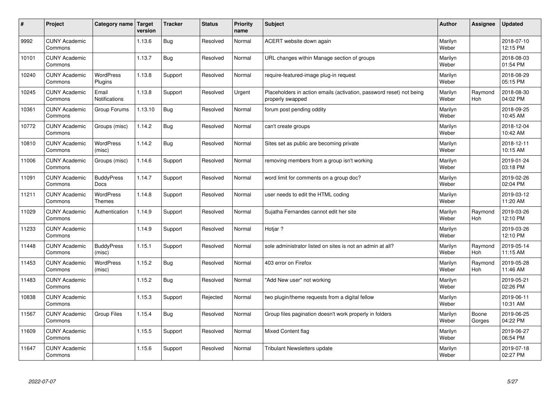| #     | Project                         | Category name   Target            | version | <b>Tracker</b> | <b>Status</b> | <b>Priority</b><br>name | <b>Subject</b>                                                                           | <b>Author</b>    | Assignee              | <b>Updated</b>         |
|-------|---------------------------------|-----------------------------------|---------|----------------|---------------|-------------------------|------------------------------------------------------------------------------------------|------------------|-----------------------|------------------------|
| 9992  | <b>CUNY Academic</b><br>Commons |                                   | 1.13.6  | <b>Bug</b>     | Resolved      | Normal                  | ACERT website down again                                                                 | Marilyn<br>Weber |                       | 2018-07-10<br>12:15 PM |
| 10101 | <b>CUNY Academic</b><br>Commons |                                   | 1.13.7  | <b>Bug</b>     | Resolved      | Normal                  | URL changes within Manage section of groups                                              | Marilyn<br>Weber |                       | 2018-08-03<br>01:54 PM |
| 10240 | <b>CUNY Academic</b><br>Commons | <b>WordPress</b><br>Plugins       | 1.13.8  | Support        | Resolved      | Normal                  | require-featured-image plug-in request                                                   | Marilyn<br>Weber |                       | 2018-08-29<br>05:15 PM |
| 10245 | <b>CUNY Academic</b><br>Commons | Email<br>Notifications            | 1.13.8  | Support        | Resolved      | Urgent                  | Placeholders in action emails (activation, password reset) not being<br>properly swapped | Marilyn<br>Weber | Raymond<br>Hoh        | 2018-08-30<br>04:02 PM |
| 10361 | <b>CUNY Academic</b><br>Commons | Group Forums                      | 1.13.10 | <b>Bug</b>     | Resolved      | Normal                  | forum post pending oddity                                                                | Marilyn<br>Weber |                       | 2018-09-25<br>10:45 AM |
| 10772 | <b>CUNY Academic</b><br>Commons | Groups (misc)                     | 1.14.2  | <b>Bug</b>     | Resolved      | Normal                  | can't create groups                                                                      | Marilyn<br>Weber |                       | 2018-12-04<br>10:42 AM |
| 10810 | <b>CUNY Academic</b><br>Commons | WordPress<br>(misc)               | 1.14.2  | Bug            | Resolved      | Normal                  | Sites set as public are becoming private                                                 | Marilyn<br>Weber |                       | 2018-12-11<br>10:15 AM |
| 11006 | <b>CUNY Academic</b><br>Commons | Groups (misc)                     | 1.14.6  | Support        | Resolved      | Normal                  | removing members from a group isn't working                                              | Marilyn<br>Weber |                       | 2019-01-24<br>03:18 PM |
| 11091 | <b>CUNY Academic</b><br>Commons | <b>BuddyPress</b><br>Docs         | 1.14.7  | Support        | Resolved      | Normal                  | word limit for comments on a group doc?                                                  | Marilyn<br>Weber |                       | 2019-02-26<br>02:04 PM |
| 11211 | <b>CUNY Academic</b><br>Commons | <b>WordPress</b><br><b>Themes</b> | 1.14.8  | Support        | Resolved      | Normal                  | user needs to edit the HTML coding                                                       | Marilyn<br>Weber |                       | 2019-03-12<br>11:20 AM |
| 11029 | <b>CUNY Academic</b><br>Commons | Authentication                    | 1.14.9  | Support        | Resolved      | Normal                  | Sujatha Fernandes cannot edit her site                                                   | Marilyn<br>Weber | Raymond<br><b>Hoh</b> | 2019-03-26<br>12:10 PM |
| 11233 | <b>CUNY Academic</b><br>Commons |                                   | 1.14.9  | Support        | Resolved      | Normal                  | Hotjar ?                                                                                 | Marilyn<br>Weber |                       | 2019-03-26<br>12:10 PM |
| 11448 | <b>CUNY Academic</b><br>Commons | <b>BuddyPress</b><br>(misc)       | 1.15.1  | Support        | Resolved      | Normal                  | sole administrator listed on sites is not an admin at all?                               | Marilyn<br>Weber | Raymond<br>Hoh        | 2019-05-14<br>11:15 AM |
| 11453 | <b>CUNY Academic</b><br>Commons | WordPress<br>(misc)               | 1.15.2  | <b>Bug</b>     | Resolved      | Normal                  | 403 error on Firefox                                                                     | Marilyn<br>Weber | Raymond<br>Hoh        | 2019-05-28<br>11:46 AM |
| 11483 | <b>CUNY Academic</b><br>Commons |                                   | 1.15.2  | <b>Bug</b>     | Resolved      | Normal                  | 'Add New user" not working                                                               | Marilyn<br>Weber |                       | 2019-05-21<br>02:26 PM |
| 10838 | <b>CUNY Academic</b><br>Commons |                                   | 1.15.3  | Support        | Rejected      | Normal                  | two plugin/theme requests from a digital fellow                                          | Marilyn<br>Weber |                       | 2019-06-11<br>10:31 AM |
| 11567 | <b>CUNY Academic</b><br>Commons | <b>Group Files</b>                | 1.15.4  | <b>Bug</b>     | Resolved      | Normal                  | Group files pagination doesn't work properly in folders                                  | Marilyn<br>Weber | Boone<br>Gorges       | 2019-06-25<br>04:22 PM |
| 11609 | <b>CUNY Academic</b><br>Commons |                                   | 1.15.5  | Support        | Resolved      | Normal                  | Mixed Content flag                                                                       | Marilyn<br>Weber |                       | 2019-06-27<br>06:54 PM |
| 11647 | <b>CUNY Academic</b><br>Commons |                                   | 1.15.6  | Support        | Resolved      | Normal                  | Tribulant Newsletters update                                                             | Marilyn<br>Weber |                       | 2019-07-18<br>02:27 PM |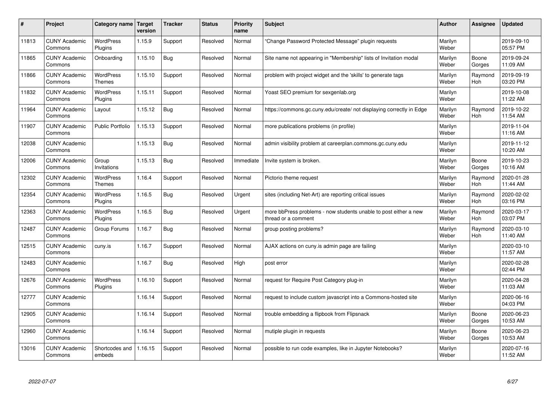| #     | Project                         | Category name   Target            | version | <b>Tracker</b> | <b>Status</b> | <b>Priority</b><br>name | <b>Subject</b>                                                                          | <b>Author</b>    | Assignee              | <b>Updated</b>         |
|-------|---------------------------------|-----------------------------------|---------|----------------|---------------|-------------------------|-----------------------------------------------------------------------------------------|------------------|-----------------------|------------------------|
| 11813 | <b>CUNY Academic</b><br>Commons | <b>WordPress</b><br>Plugins       | 1.15.9  | Support        | Resolved      | Normal                  | 'Change Password Protected Message" plugin requests                                     | Marilyn<br>Weber |                       | 2019-09-10<br>05:57 PM |
| 11865 | <b>CUNY Academic</b><br>Commons | Onboarding                        | 1.15.10 | Bug            | Resolved      | Normal                  | Site name not appearing in "Membership" lists of Invitation modal                       | Marilyn<br>Weber | Boone<br>Gorges       | 2019-09-24<br>11:09 AM |
| 11866 | <b>CUNY Academic</b><br>Commons | <b>WordPress</b><br><b>Themes</b> | 1.15.10 | Support        | Resolved      | Normal                  | problem with project widget and the 'skills' to generate tags                           | Marilyn<br>Weber | Raymond<br><b>Hoh</b> | 2019-09-19<br>03:20 PM |
| 11832 | <b>CUNY Academic</b><br>Commons | <b>WordPress</b><br>Plugins       | 1.15.11 | Support        | Resolved      | Normal                  | Yoast SEO premium for sexgenlab.org                                                     | Marilyn<br>Weber |                       | 2019-10-08<br>11:22 AM |
| 11964 | <b>CUNY Academic</b><br>Commons | Layout                            | 1.15.12 | Bug            | Resolved      | Normal                  | https://commons.gc.cuny.edu/create/ not displaying correctly in Edge                    | Marilyn<br>Weber | Raymond<br>Hoh        | 2019-10-22<br>11:54 AM |
| 11907 | <b>CUNY Academic</b><br>Commons | <b>Public Portfolio</b>           | 1.15.13 | Support        | Resolved      | Normal                  | more publications problems (in profile)                                                 | Marilyn<br>Weber |                       | 2019-11-04<br>11:16 AM |
| 12038 | <b>CUNY Academic</b><br>Commons |                                   | 1.15.13 | <b>Bug</b>     | Resolved      | Normal                  | admin visibility problem at careerplan.commons.gc.cuny.edu                              | Marilyn<br>Weber |                       | 2019-11-12<br>10:20 AM |
| 12006 | <b>CUNY Academic</b><br>Commons | Group<br>Invitations              | 1.15.13 | Bug            | Resolved      | Immediate               | Invite system is broken.                                                                | Marilyn<br>Weber | Boone<br>Gorges       | 2019-10-23<br>10:16 AM |
| 12302 | <b>CUNY Academic</b><br>Commons | <b>WordPress</b><br><b>Themes</b> | 1.16.4  | Support        | Resolved      | Normal                  | Pictorio theme request                                                                  | Marilyn<br>Weber | Raymond<br><b>Hoh</b> | 2020-01-28<br>11:44 AM |
| 12354 | <b>CUNY Academic</b><br>Commons | WordPress<br>Plugins              | 1.16.5  | <b>Bug</b>     | Resolved      | Urgent                  | sites (including Net-Art) are reporting critical issues                                 | Marilyn<br>Weber | Raymond<br><b>Hoh</b> | 2020-02-02<br>03:16 PM |
| 12363 | <b>CUNY Academic</b><br>Commons | <b>WordPress</b><br>Plugins       | 1.16.5  | Bug            | Resolved      | Urgent                  | more bbPress problems - now students unable to post either a new<br>thread or a comment | Marilyn<br>Weber | Raymond<br>Hoh        | 2020-03-17<br>03:07 PM |
| 12487 | <b>CUNY Academic</b><br>Commons | Group Forums                      | 1.16.7  | Bug            | Resolved      | Normal                  | group posting problems?                                                                 | Marilyn<br>Weber | Raymond<br>Hoh        | 2020-03-10<br>11:40 AM |
| 12515 | <b>CUNY Academic</b><br>Commons | cuny.is                           | 1.16.7  | Support        | Resolved      | Normal                  | AJAX actions on cuny is admin page are failing                                          | Marilyn<br>Weber |                       | 2020-03-10<br>11:57 AM |
| 12483 | <b>CUNY Academic</b><br>Commons |                                   | 1.16.7  | <b>Bug</b>     | Resolved      | High                    | post error                                                                              | Marilyn<br>Weber |                       | 2020-02-28<br>02:44 PM |
| 12676 | <b>CUNY Academic</b><br>Commons | <b>WordPress</b><br>Plugins       | 1.16.10 | Support        | Resolved      | Normal                  | request for Require Post Category plug-in                                               | Marilyn<br>Weber |                       | 2020-04-28<br>11:03 AM |
| 12777 | <b>CUNY Academic</b><br>Commons |                                   | 1.16.14 | Support        | Resolved      | Normal                  | request to include custom javascript into a Commons-hosted site                         | Marilyn<br>Weber |                       | 2020-06-16<br>04:03 PM |
| 12905 | <b>CUNY Academic</b><br>Commons |                                   | 1.16.14 | Support        | Resolved      | Normal                  | trouble embedding a flipbook from Flipsnack                                             | Marilyn<br>Weber | Boone<br>Gorges       | 2020-06-23<br>10:53 AM |
| 12960 | <b>CUNY Academic</b><br>Commons |                                   | 1.16.14 | Support        | Resolved      | Normal                  | mutiple plugin in requests                                                              | Marilyn<br>Weber | Boone<br>Gorges       | 2020-06-23<br>10:53 AM |
| 13016 | <b>CUNY Academic</b><br>Commons | Shortcodes and<br>embeds          | 1.16.15 | Support        | Resolved      | Normal                  | possible to run code examples, like in Jupyter Notebooks?                               | Marilyn<br>Weber |                       | 2020-07-16<br>11:52 AM |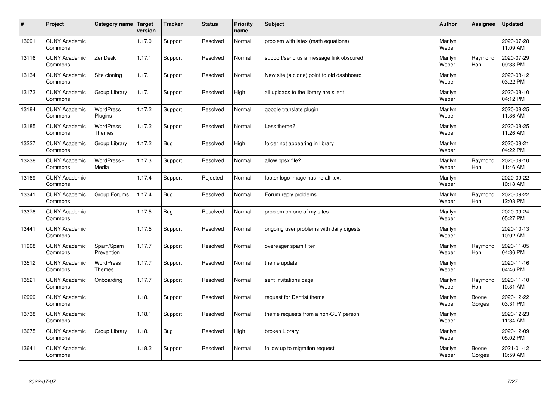| $\sharp$ | Project                         | Category name   Target            | version | <b>Tracker</b> | <b>Status</b> | <b>Priority</b><br>name | <b>Subject</b>                            | <b>Author</b>    | Assignee              | <b>Updated</b>         |
|----------|---------------------------------|-----------------------------------|---------|----------------|---------------|-------------------------|-------------------------------------------|------------------|-----------------------|------------------------|
| 13091    | <b>CUNY Academic</b><br>Commons |                                   | 1.17.0  | Support        | Resolved      | Normal                  | problem with latex (math equations)       | Marilyn<br>Weber |                       | 2020-07-28<br>11:09 AM |
| 13116    | <b>CUNY Academic</b><br>Commons | ZenDesk                           | 1.17.1  | Support        | Resolved      | Normal                  | support/send us a message link obscured   | Marilyn<br>Weber | Raymond<br><b>Hoh</b> | 2020-07-29<br>09:33 PM |
| 13134    | <b>CUNY Academic</b><br>Commons | Site cloning                      | 1.17.1  | Support        | Resolved      | Normal                  | New site (a clone) point to old dashboard | Marilyn<br>Weber |                       | 2020-08-12<br>03:22 PM |
| 13173    | <b>CUNY Academic</b><br>Commons | Group Library                     | 1.17.1  | Support        | Resolved      | High                    | all uploads to the library are silent     | Marilyn<br>Weber |                       | 2020-08-10<br>04:12 PM |
| 13184    | <b>CUNY Academic</b><br>Commons | <b>WordPress</b><br>Plugins       | 1.17.2  | Support        | Resolved      | Normal                  | google translate plugin                   | Marilyn<br>Weber |                       | 2020-08-25<br>11:36 AM |
| 13185    | <b>CUNY Academic</b><br>Commons | <b>WordPress</b><br><b>Themes</b> | 1.17.2  | Support        | Resolved      | Normal                  | Less theme?                               | Marilyn<br>Weber |                       | 2020-08-25<br>11:26 AM |
| 13227    | <b>CUNY Academic</b><br>Commons | Group Library                     | 1.17.2  | Bug            | Resolved      | High                    | folder not appearing in library           | Marilyn<br>Weber |                       | 2020-08-21<br>04:22 PM |
| 13238    | <b>CUNY Academic</b><br>Commons | WordPress -<br>Media              | 1.17.3  | Support        | Resolved      | Normal                  | allow ppsx file?                          | Marilyn<br>Weber | Raymond<br>Hoh        | 2020-09-10<br>11:46 AM |
| 13169    | <b>CUNY Academic</b><br>Commons |                                   | 1.17.4  | Support        | Rejected      | Normal                  | footer logo image has no alt-text         | Marilyn<br>Weber |                       | 2020-09-22<br>10:18 AM |
| 13341    | <b>CUNY Academic</b><br>Commons | Group Forums                      | 1.17.4  | Bug            | Resolved      | Normal                  | Forum reply problems                      | Marilyn<br>Weber | Raymond<br><b>Hoh</b> | 2020-09-22<br>12:08 PM |
| 13378    | <b>CUNY Academic</b><br>Commons |                                   | 1.17.5  | Bug            | Resolved      | Normal                  | problem on one of my sites                | Marilyn<br>Weber |                       | 2020-09-24<br>05:27 PM |
| 13441    | <b>CUNY Academic</b><br>Commons |                                   | 1.17.5  | Support        | Resolved      | Normal                  | ongoing user problems with daily digests  | Marilyn<br>Weber |                       | 2020-10-13<br>10:02 AM |
| 11908    | <b>CUNY Academic</b><br>Commons | Spam/Spam<br>Prevention           | 1.17.7  | Support        | Resolved      | Normal                  | overeager spam filter                     | Marilyn<br>Weber | Raymond<br>Hoh        | 2020-11-05<br>04:36 PM |
| 13512    | <b>CUNY Academic</b><br>Commons | WordPress<br><b>Themes</b>        | 1.17.7  | Support        | Resolved      | Normal                  | theme update                              | Marilyn<br>Weber |                       | 2020-11-16<br>04:46 PM |
| 13521    | <b>CUNY Academic</b><br>Commons | Onboarding                        | 1.17.7  | Support        | Resolved      | Normal                  | sent invitations page                     | Marilyn<br>Weber | Raymond<br><b>Hoh</b> | 2020-11-10<br>10:31 AM |
| 12999    | <b>CUNY Academic</b><br>Commons |                                   | 1.18.1  | Support        | Resolved      | Normal                  | request for Dentist theme                 | Marilyn<br>Weber | Boone<br>Gorges       | 2020-12-22<br>03:31 PM |
| 13738    | <b>CUNY Academic</b><br>Commons |                                   | 1.18.1  | Support        | Resolved      | Normal                  | theme requests from a non-CUY person      | Marilyn<br>Weber |                       | 2020-12-23<br>11:34 AM |
| 13675    | <b>CUNY Academic</b><br>Commons | Group Library                     | 1.18.1  | Bug            | Resolved      | High                    | broken Library                            | Marilyn<br>Weber |                       | 2020-12-09<br>05:02 PM |
| 13641    | <b>CUNY Academic</b><br>Commons |                                   | 1.18.2  | Support        | Resolved      | Normal                  | follow up to migration request            | Marilyn<br>Weber | Boone<br>Gorges       | 2021-01-12<br>10:59 AM |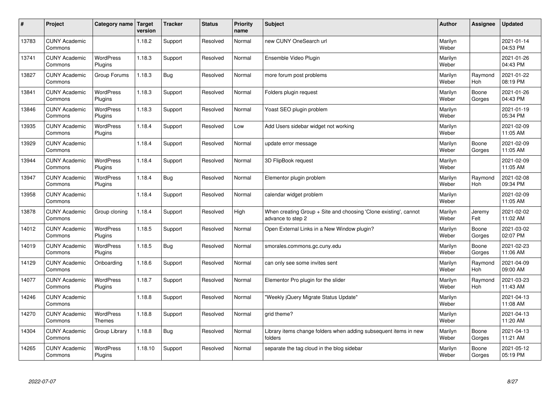| $\sharp$ | Project                         | Category name   Target             | version | <b>Tracker</b> | <b>Status</b> | <b>Priority</b><br>name | <b>Subject</b>                                                                          | <b>Author</b>    | Assignee              | <b>Updated</b>         |
|----------|---------------------------------|------------------------------------|---------|----------------|---------------|-------------------------|-----------------------------------------------------------------------------------------|------------------|-----------------------|------------------------|
| 13783    | <b>CUNY Academic</b><br>Commons |                                    | 1.18.2  | Support        | Resolved      | Normal                  | new CUNY OneSearch url                                                                  | Marilyn<br>Weber |                       | 2021-01-14<br>04:53 PM |
| 13741    | <b>CUNY Academic</b><br>Commons | <b>WordPress</b><br>Plugins        | 1.18.3  | Support        | Resolved      | Normal                  | Ensemble Video Plugin                                                                   | Marilyn<br>Weber |                       | 2021-01-26<br>04:43 PM |
| 13827    | <b>CUNY Academic</b><br>Commons | Group Forums                       | 1.18.3  | Bug            | Resolved      | Normal                  | more forum post problems                                                                | Marilyn<br>Weber | Raymond<br>Hoh        | 2021-01-22<br>08:19 PM |
| 13841    | <b>CUNY Academic</b><br>Commons | <b>WordPress</b><br>Plugins        | 1.18.3  | Support        | Resolved      | Normal                  | Folders plugin request                                                                  | Marilyn<br>Weber | Boone<br>Gorges       | 2021-01-26<br>04:43 PM |
| 13846    | <b>CUNY Academic</b><br>Commons | <b>WordPress</b><br>Plugins        | 1.18.3  | Support        | Resolved      | Normal                  | Yoast SEO plugin problem                                                                | Marilyn<br>Weber |                       | 2021-01-19<br>05:34 PM |
| 13935    | <b>CUNY Academic</b><br>Commons | <b>WordPress</b><br><b>Plugins</b> | 1.18.4  | Support        | Resolved      | Low                     | Add Users sidebar widget not working                                                    | Marilyn<br>Weber |                       | 2021-02-09<br>11:05 AM |
| 13929    | <b>CUNY Academic</b><br>Commons |                                    | 1.18.4  | Support        | Resolved      | Normal                  | update error message                                                                    | Marilyn<br>Weber | Boone<br>Gorges       | 2021-02-09<br>11:05 AM |
| 13944    | <b>CUNY Academic</b><br>Commons | WordPress<br>Plugins               | 1.18.4  | Support        | Resolved      | Normal                  | 3D FlipBook request                                                                     | Marilyn<br>Weber |                       | 2021-02-09<br>11:05 AM |
| 13947    | <b>CUNY Academic</b><br>Commons | WordPress<br>Plugins               | 1.18.4  | Bug            | Resolved      | Normal                  | Elementor plugin problem                                                                | Marilyn<br>Weber | Raymond<br>Hoh        | 2021-02-08<br>09:34 PM |
| 13958    | <b>CUNY Academic</b><br>Commons |                                    | 1.18.4  | Support        | Resolved      | Normal                  | calendar widget problem                                                                 | Marilyn<br>Weber |                       | 2021-02-09<br>11:05 AM |
| 13878    | <b>CUNY Academic</b><br>Commons | Group cloning                      | 1.18.4  | Support        | Resolved      | High                    | When creating Group $+$ Site and choosing 'Clone existing', cannot<br>advance to step 2 | Marilyn<br>Weber | Jeremy<br>Felt        | 2021-02-02<br>11:02 AM |
| 14012    | <b>CUNY Academic</b><br>Commons | <b>WordPress</b><br>Plugins        | 1.18.5  | Support        | Resolved      | Normal                  | Open External Links in a New Window plugin?                                             | Marilyn<br>Weber | Boone<br>Gorges       | 2021-03-02<br>02:07 PM |
| 14019    | <b>CUNY Academic</b><br>Commons | <b>WordPress</b><br>Plugins        | 1.18.5  | <b>Bug</b>     | Resolved      | Normal                  | smorales.commons.gc.cuny.edu                                                            | Marilyn<br>Weber | Boone<br>Gorges       | 2021-02-23<br>11:06 AM |
| 14129    | <b>CUNY Academic</b><br>Commons | Onboarding                         | 1.18.6  | Support        | Resolved      | Normal                  | can only see some invites sent                                                          | Marilyn<br>Weber | Raymond<br><b>Hoh</b> | 2021-04-09<br>09:00 AM |
| 14077    | <b>CUNY Academic</b><br>Commons | WordPress<br>Plugins               | 1.18.7  | Support        | Resolved      | Normal                  | Elementor Pro plugin for the slider                                                     | Marilyn<br>Weber | Raymond<br><b>Hoh</b> | 2021-03-23<br>11:43 AM |
| 14246    | <b>CUNY Academic</b><br>Commons |                                    | 1.18.8  | Support        | Resolved      | Normal                  | 'Weekly jQuery Migrate Status Update"                                                   | Marilyn<br>Weber |                       | 2021-04-13<br>11:08 AM |
| 14270    | <b>CUNY Academic</b><br>Commons | WordPress<br>Themes                | 1.18.8  | Support        | Resolved      | Normal                  | grid theme?                                                                             | Marilyn<br>Weber |                       | 2021-04-13<br>11:20 AM |
| 14304    | <b>CUNY Academic</b><br>Commons | Group Library                      | 1.18.8  | Bug            | Resolved      | Normal                  | Library items change folders when adding subsequent items in new<br>folders             | Marilyn<br>Weber | Boone<br>Gorges       | 2021-04-13<br>11:21 AM |
| 14265    | <b>CUNY Academic</b><br>Commons | <b>WordPress</b><br>Plugins        | 1.18.10 | Support        | Resolved      | Normal                  | separate the tag cloud in the blog sidebar                                              | Marilyn<br>Weber | Boone<br>Gorges       | 2021-05-12<br>05:19 PM |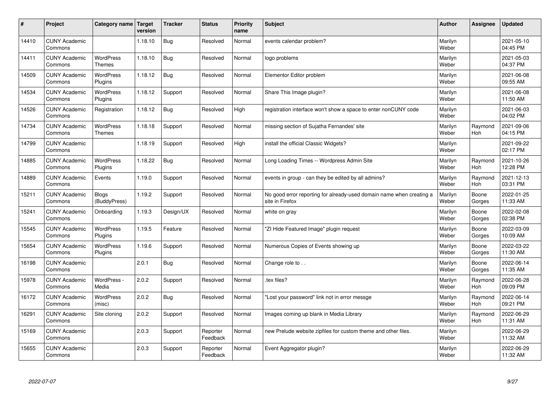| #     | Project                         | Category name   Target            | version | <b>Tracker</b> | <b>Status</b>        | <b>Priority</b><br>name | <b>Subject</b>                                                                          | <b>Author</b>    | Assignee              | <b>Updated</b>         |
|-------|---------------------------------|-----------------------------------|---------|----------------|----------------------|-------------------------|-----------------------------------------------------------------------------------------|------------------|-----------------------|------------------------|
| 14410 | <b>CUNY Academic</b><br>Commons |                                   | 1.18.10 | <b>Bug</b>     | Resolved             | Normal                  | events calendar problem?                                                                | Marilyn<br>Weber |                       | 2021-05-10<br>04:45 PM |
| 14411 | <b>CUNY Academic</b><br>Commons | <b>WordPress</b><br><b>Themes</b> | 1.18.10 | <b>Bug</b>     | Resolved             | Normal                  | logo problems                                                                           | Marilyn<br>Weber |                       | 2021-05-03<br>04:37 PM |
| 14509 | <b>CUNY Academic</b><br>Commons | <b>WordPress</b><br>Plugins       | 1.18.12 | <b>Bug</b>     | Resolved             | Normal                  | Elementor Editor problem                                                                | Marilyn<br>Weber |                       | 2021-06-08<br>09:55 AM |
| 14534 | <b>CUNY Academic</b><br>Commons | <b>WordPress</b><br>Plugins       | 1.18.12 | Support        | Resolved             | Normal                  | Share This Image plugin?                                                                | Marilyn<br>Weber |                       | 2021-06-08<br>11:50 AM |
| 14526 | <b>CUNY Academic</b><br>Commons | Registration                      | 1.18.12 | <b>Bug</b>     | Resolved             | High                    | registration interface won't show a space to enter nonCUNY code                         | Marilyn<br>Weber |                       | 2021-06-03<br>04:02 PM |
| 14734 | <b>CUNY Academic</b><br>Commons | <b>WordPress</b><br><b>Themes</b> | 1.18.18 | Support        | Resolved             | Normal                  | missing section of Sujatha Fernandes' site                                              | Marilyn<br>Weber | Raymond<br>Hoh        | 2021-09-06<br>04:15 PM |
| 14799 | <b>CUNY Academic</b><br>Commons |                                   | 1.18.19 | Support        | Resolved             | High                    | install the official Classic Widgets?                                                   | Marilyn<br>Weber |                       | 2021-09-22<br>02:17 PM |
| 14885 | <b>CUNY Academic</b><br>Commons | WordPress<br>Plugins              | 1.18.22 | <b>Bug</b>     | Resolved             | Normal                  | Long Loading Times -- Wordpress Admin Site                                              | Marilyn<br>Weber | Raymond<br><b>Hoh</b> | 2021-10-26<br>12:28 PM |
| 14889 | <b>CUNY Academic</b><br>Commons | Events                            | 1.19.0  | Support        | Resolved             | Normal                  | events in group - can they be edited by all admins?                                     | Marilyn<br>Weber | Raymond<br>Hoh        | 2021-12-13<br>03:31 PM |
| 15211 | <b>CUNY Academic</b><br>Commons | <b>Blogs</b><br>(BuddyPress)      | 1.19.2  | Support        | Resolved             | Normal                  | No good error reporting for already-used domain name when creating a<br>site in Firefox | Marilyn<br>Weber | Boone<br>Gorges       | 2022-01-25<br>11:33 AM |
| 15241 | <b>CUNY Academic</b><br>Commons | Onboarding                        | 1.19.3  | Design/UX      | Resolved             | Normal                  | white on gray                                                                           | Marilyn<br>Weber | Boone<br>Gorges       | 2022-02-08<br>02:38 PM |
| 15545 | <b>CUNY Academic</b><br>Commons | WordPress<br>Plugins              | 1.19.5  | Feature        | Resolved             | Normal                  | "ZI Hide Featured Image" plugin request                                                 | Marilyn<br>Weber | Boone<br>Gorges       | 2022-03-09<br>10:09 AM |
| 15654 | <b>CUNY Academic</b><br>Commons | <b>WordPress</b><br>Plugins       | 1.19.6  | Support        | Resolved             | Normal                  | Numerous Copies of Events showing up                                                    | Marilyn<br>Weber | Boone<br>Gorges       | 2022-03-22<br>11:30 AM |
| 16198 | <b>CUNY Academic</b><br>Commons |                                   | 2.0.1   | <b>Bug</b>     | Resolved             | Normal                  | Change role to                                                                          | Marilyn<br>Weber | Boone<br>Gorges       | 2022-06-14<br>11:35 AM |
| 15978 | <b>CUNY Academic</b><br>Commons | WordPress -<br>Media              | 2.0.2   | Support        | Resolved             | Normal                  | tex files?                                                                              | Marilyn<br>Weber | Raymond<br>Hoh        | 2022-06-28<br>09:09 PM |
| 16172 | <b>CUNY Academic</b><br>Commons | WordPress<br>(misc)               | 2.0.2   | <b>Bug</b>     | Resolved             | Normal                  | "Lost your password" link not in error messge                                           | Marilyn<br>Weber | Raymond<br>Hoh        | 2022-06-14<br>09:21 PM |
| 16291 | <b>CUNY Academic</b><br>Commons | Site cloning                      | 2.0.2   | Support        | Resolved             | Normal                  | Images coming up blank in Media Library                                                 | Marilyn<br>Weber | Raymond<br>Hoh        | 2022-06-29<br>11:31 AM |
| 15169 | <b>CUNY Academic</b><br>Commons |                                   | 2.0.3   | Support        | Reporter<br>Feedback | Normal                  | new Prelude website zipfiles for custom theme and other files.                          | Marilyn<br>Weber |                       | 2022-06-29<br>11:32 AM |
| 15655 | <b>CUNY Academic</b><br>Commons |                                   | 2.0.3   | Support        | Reporter<br>Feedback | Normal                  | Event Aggregator plugin?                                                                | Marilyn<br>Weber |                       | 2022-06-29<br>11:32 AM |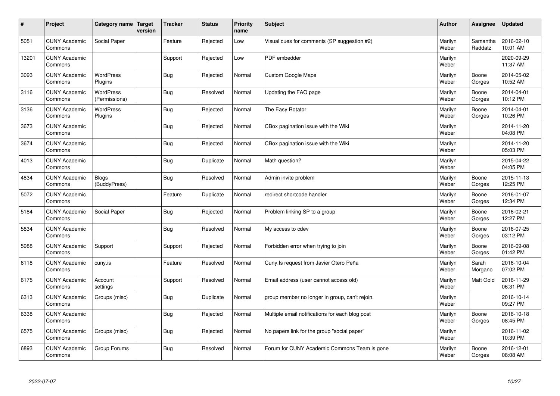| $\sharp$ | Project                         | Category name   Target            | version | <b>Tracker</b> | <b>Status</b> | Priority<br>name | <b>Subject</b>                                  | <b>Author</b>    | Assignee            | <b>Updated</b>         |
|----------|---------------------------------|-----------------------------------|---------|----------------|---------------|------------------|-------------------------------------------------|------------------|---------------------|------------------------|
| 5051     | <b>CUNY Academic</b><br>Commons | Social Paper                      |         | Feature        | Rejected      | Low              | Visual cues for comments (SP suggestion #2)     | Marilyn<br>Weber | Samantha<br>Raddatz | 2016-02-10<br>10:01 AM |
| 13201    | <b>CUNY Academic</b><br>Commons |                                   |         | Support        | Rejected      | Low              | PDF embedder                                    | Marilyn<br>Weber |                     | 2020-09-29<br>11:37 AM |
| 3093     | <b>CUNY Academic</b><br>Commons | <b>WordPress</b><br>Plugins       |         | Bug            | Rejected      | Normal           | <b>Custom Google Maps</b>                       | Marilyn<br>Weber | Boone<br>Gorges     | 2014-05-02<br>10:52 AM |
| 3116     | <b>CUNY Academic</b><br>Commons | <b>WordPress</b><br>(Permissions) |         | <b>Bug</b>     | Resolved      | Normal           | Updating the FAQ page                           | Marilyn<br>Weber | Boone<br>Gorges     | 2014-04-01<br>10:12 PM |
| 3136     | <b>CUNY Academic</b><br>Commons | <b>WordPress</b><br>Plugins       |         | Bug            | Rejected      | Normal           | The Easy Rotator                                | Marilyn<br>Weber | Boone<br>Gorges     | 2014-04-01<br>10:26 PM |
| 3673     | <b>CUNY Academic</b><br>Commons |                                   |         | Bug            | Rejected      | Normal           | CBox pagination issue with the Wiki             | Marilyn<br>Weber |                     | 2014-11-20<br>04:08 PM |
| 3674     | <b>CUNY Academic</b><br>Commons |                                   |         | <b>Bug</b>     | Rejected      | Normal           | CBox pagination issue with the Wiki             | Marilyn<br>Weber |                     | 2014-11-20<br>05:03 PM |
| 4013     | <b>CUNY Academic</b><br>Commons |                                   |         | <b>Bug</b>     | Duplicate     | Normal           | Math question?                                  | Marilyn<br>Weber |                     | 2015-04-22<br>04:05 PM |
| 4834     | <b>CUNY Academic</b><br>Commons | <b>Blogs</b><br>(BuddyPress)      |         | Bug            | Resolved      | Normal           | Admin invite problem                            | Marilyn<br>Weber | Boone<br>Gorges     | 2015-11-13<br>12:25 PM |
| 5072     | <b>CUNY Academic</b><br>Commons |                                   |         | Feature        | Duplicate     | Normal           | redirect shortcode handler                      | Marilyn<br>Weber | Boone<br>Gorges     | 2016-01-07<br>12:34 PM |
| 5184     | <b>CUNY Academic</b><br>Commons | Social Paper                      |         | Bug            | Rejected      | Normal           | Problem linking SP to a group                   | Marilyn<br>Weber | Boone<br>Gorges     | 2016-02-21<br>12:27 PM |
| 5834     | <b>CUNY Academic</b><br>Commons |                                   |         | <b>Bug</b>     | Resolved      | Normal           | My access to cdev                               | Marilyn<br>Weber | Boone<br>Gorges     | 2016-07-25<br>03:12 PM |
| 5988     | <b>CUNY Academic</b><br>Commons | Support                           |         | Support        | Rejected      | Normal           | Forbidden error when trying to join             | Marilyn<br>Weber | Boone<br>Gorges     | 2016-09-08<br>01:42 PM |
| 6118     | <b>CUNY Academic</b><br>Commons | cuny.is                           |         | Feature        | Resolved      | Normal           | Cuny. Is request from Javier Otero Peña         | Marilyn<br>Weber | Sarah<br>Morgano    | 2016-10-04<br>07:02 PM |
| 6175     | <b>CUNY Academic</b><br>Commons | Account<br>settings               |         | Support        | Resolved      | Normal           | Email address (user cannot access old)          | Marilyn<br>Weber | Matt Gold           | 2016-11-29<br>06:31 PM |
| 6313     | <b>CUNY Academic</b><br>Commons | Groups (misc)                     |         | Bug            | Duplicate     | Normal           | group member no longer in group, can't rejoin.  | Marilyn<br>Weber |                     | 2016-10-14<br>09:27 PM |
| 6338     | <b>CUNY Academic</b><br>Commons |                                   |         | Bug            | Rejected      | Normal           | Multiple email notifications for each blog post | Marilyn<br>Weber | Boone<br>Gorges     | 2016-10-18<br>08:45 PM |
| 6575     | <b>CUNY Academic</b><br>Commons | Groups (misc)                     |         | <b>Bug</b>     | Rejected      | Normal           | No papers link for the group "social paper"     | Marilyn<br>Weber |                     | 2016-11-02<br>10:39 PM |
| 6893     | <b>CUNY Academic</b><br>Commons | Group Forums                      |         | <b>Bug</b>     | Resolved      | Normal           | Forum for CUNY Academic Commons Team is gone    | Marilyn<br>Weber | Boone<br>Gorges     | 2016-12-01<br>08:08 AM |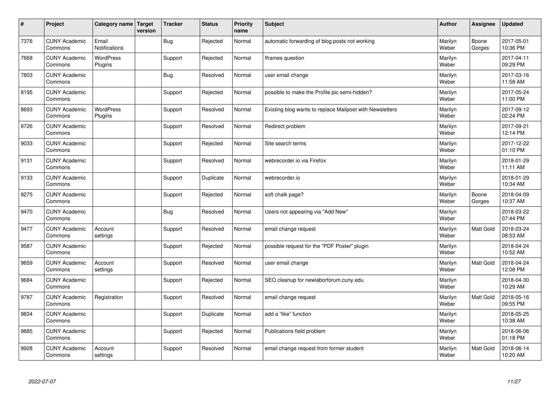| $\sharp$ | Project                         | Category name   Target        | version | <b>Tracker</b> | <b>Status</b> | <b>Priority</b><br>name | <b>Subject</b>                                           | <b>Author</b>    | Assignee         | <b>Updated</b>         |
|----------|---------------------------------|-------------------------------|---------|----------------|---------------|-------------------------|----------------------------------------------------------|------------------|------------------|------------------------|
| 7376     | <b>CUNY Academic</b><br>Commons | Email<br><b>Notifications</b> |         | Bug            | Rejected      | Normal                  | automatic forwarding of blog posts not working           | Marilyn<br>Weber | Boone<br>Gorges  | 2017-05-01<br>10:36 PM |
| 7668     | <b>CUNY Academic</b><br>Commons | WordPress<br>Plugins          |         | Support        | Rejected      | Normal                  | Iframes question                                         | Marilyn<br>Weber |                  | 2017-04-11<br>09:29 PM |
| 7803     | <b>CUNY Academic</b><br>Commons |                               |         | Bug            | Resolved      | Normal                  | user email change                                        | Marilyn<br>Weber |                  | 2017-03-16<br>11:58 AM |
| 8195     | <b>CUNY Academic</b><br>Commons |                               |         | Support        | Rejected      | Normal                  | possible to make the Profile pic semi-hidden?            | Marilyn<br>Weber |                  | 2017-05-24<br>11:00 PM |
| 8693     | <b>CUNY Academic</b><br>Commons | <b>WordPress</b><br>Plugins   |         | Support        | Resolved      | Normal                  | Existing blog wants to replace Mailpoet with Newsletters | Marilyn<br>Weber |                  | 2017-09-12<br>02:24 PM |
| 8726     | <b>CUNY Academic</b><br>Commons |                               |         | Support        | Resolved      | Normal                  | Redirect problem                                         | Marilyn<br>Weber |                  | 2017-09-21<br>12:14 PM |
| 9033     | <b>CUNY Academic</b><br>Commons |                               |         | Support        | Rejected      | Normal                  | Site search terms                                        | Marilyn<br>Weber |                  | 2017-12-22<br>01:10 PM |
| 9131     | <b>CUNY Academic</b><br>Commons |                               |         | Support        | Resolved      | Normal                  | webrecorder.io via Firefox                               | Marilyn<br>Weber |                  | 2018-01-29<br>11:11 AM |
| 9133     | <b>CUNY Academic</b><br>Commons |                               |         | Support        | Duplicate     | Normal                  | webrecorder.io                                           | Marilyn<br>Weber |                  | 2018-01-29<br>10:34 AM |
| 9275     | <b>CUNY Academic</b><br>Commons |                               |         | Support        | Rejected      | Normal                  | soft chalk page?                                         | Marilyn<br>Weber | Boone<br>Gorges  | 2018-04-09<br>10:37 AM |
| 9470     | <b>CUNY Academic</b><br>Commons |                               |         | <b>Bug</b>     | Resolved      | Normal                  | Users not appearing via "Add New"                        | Marilyn<br>Weber |                  | 2018-03-22<br>07:44 PM |
| 9477     | <b>CUNY Academic</b><br>Commons | Account<br>settings           |         | Support        | Resolved      | Normal                  | email change request                                     | Marilyn<br>Weber | <b>Matt Gold</b> | 2018-03-24<br>08:53 AM |
| 9587     | <b>CUNY Academic</b><br>Commons |                               |         | Support        | Rejected      | Normal                  | possible request for the "PDF Poster" plugin             | Marilyn<br>Weber |                  | 2018-04-24<br>10:52 AM |
| 9659     | <b>CUNY Academic</b><br>Commons | Account<br>settings           |         | Support        | Resolved      | Normal                  | user email change                                        | Marilyn<br>Weber | Matt Gold        | 2018-04-24<br>12:08 PM |
| 9684     | <b>CUNY Academic</b><br>Commons |                               |         | Support        | Rejected      | Normal                  | SEO cleanup for newlaborforum.cuny.edu                   | Marilyn<br>Weber |                  | 2018-04-30<br>10:29 AM |
| 9787     | <b>CUNY Academic</b><br>Commons | Registration                  |         | Support        | Resolved      | Normal                  | email change request                                     | Marilyn<br>Weber | <b>Matt Gold</b> | 2018-05-16<br>09:55 PM |
| 9834     | <b>CUNY Academic</b><br>Commons |                               |         | Support        | Duplicate     | Normal                  | add a "like" function                                    | Marilyn<br>Weber |                  | 2018-05-25<br>10:38 AM |
| 9885     | <b>CUNY Academic</b><br>Commons |                               |         | Support        | Rejected      | Normal                  | Publications field problem                               | Marilyn<br>Weber |                  | 2018-06-06<br>01:18 PM |
| 9928     | <b>CUNY Academic</b><br>Commons | Account<br>settings           |         | Support        | Resolved      | Normal                  | email change request from former student                 | Marilyn<br>Weber | <b>Matt Gold</b> | 2018-06-14<br>10:20 AM |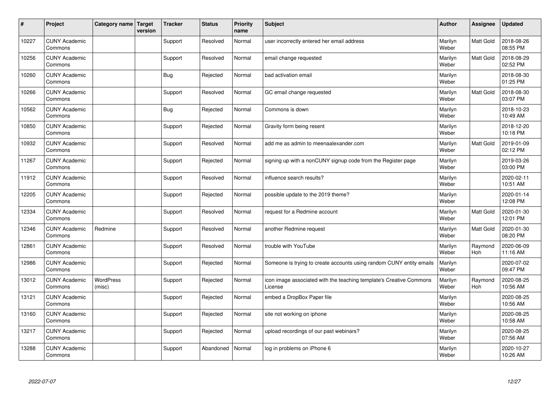| $\vert$ # | Project                         | Category name   Target     | version | <b>Tracker</b> | <b>Status</b> | <b>Priority</b><br>name | <b>Subject</b>                                                                 | <b>Author</b>    | Assignee         | <b>Updated</b>         |
|-----------|---------------------------------|----------------------------|---------|----------------|---------------|-------------------------|--------------------------------------------------------------------------------|------------------|------------------|------------------------|
| 10227     | <b>CUNY Academic</b><br>Commons |                            |         | Support        | Resolved      | Normal                  | user incorrectly entered her email address                                     | Marilyn<br>Weber | Matt Gold        | 2018-08-26<br>08:55 PM |
| 10256     | <b>CUNY Academic</b><br>Commons |                            |         | Support        | Resolved      | Normal                  | email change requested                                                         | Marilyn<br>Weber | <b>Matt Gold</b> | 2018-08-29<br>02:52 PM |
| 10260     | <b>CUNY Academic</b><br>Commons |                            |         | <b>Bug</b>     | Rejected      | Normal                  | bad activation email                                                           | Marilyn<br>Weber |                  | 2018-08-30<br>01:25 PM |
| 10266     | <b>CUNY Academic</b><br>Commons |                            |         | Support        | Resolved      | Normal                  | GC email change requested                                                      | Marilyn<br>Weber | Matt Gold        | 2018-08-30<br>03:07 PM |
| 10562     | <b>CUNY Academic</b><br>Commons |                            |         | Bug            | Rejected      | Normal                  | Commons is down                                                                | Marilyn<br>Weber |                  | 2018-10-23<br>10:49 AM |
| 10850     | <b>CUNY Academic</b><br>Commons |                            |         | Support        | Rejected      | Normal                  | Gravity form being resent                                                      | Marilyn<br>Weber |                  | 2018-12-20<br>10:18 PM |
| 10932     | <b>CUNY Academic</b><br>Commons |                            |         | Support        | Resolved      | Normal                  | add me as admin to meenaalexander.com                                          | Marilyn<br>Weber | <b>Matt Gold</b> | 2019-01-09<br>02:12 PM |
| 11267     | <b>CUNY Academic</b><br>Commons |                            |         | Support        | Rejected      | Normal                  | signing up with a nonCUNY signup code from the Register page                   | Marilyn<br>Weber |                  | 2019-03-26<br>03:00 PM |
| 11912     | <b>CUNY Academic</b><br>Commons |                            |         | Support        | Resolved      | Normal                  | influence search results?                                                      | Marilyn<br>Weber |                  | 2020-02-11<br>10:51 AM |
| 12205     | <b>CUNY Academic</b><br>Commons |                            |         | Support        | Rejected      | Normal                  | possible update to the 2019 theme?                                             | Marilyn<br>Weber |                  | 2020-01-14<br>12:08 PM |
| 12334     | <b>CUNY Academic</b><br>Commons |                            |         | Support        | Resolved      | Normal                  | request for a Redmine account                                                  | Marilyn<br>Weber | Matt Gold        | 2020-01-30<br>12:01 PM |
| 12346     | <b>CUNY Academic</b><br>Commons | Redmine                    |         | Support        | Resolved      | Normal                  | another Redmine request                                                        | Marilyn<br>Weber | Matt Gold        | 2020-01-30<br>08:20 PM |
| 12861     | <b>CUNY Academic</b><br>Commons |                            |         | Support        | Resolved      | Normal                  | trouble with YouTube                                                           | Marilyn<br>Weber | Raymond<br>Hoh   | 2020-06-09<br>11:16 AM |
| 12986     | <b>CUNY Academic</b><br>Commons |                            |         | Support        | Rejected      | Normal                  | Someone is trying to create accounts using random CUNY entity emails           | Marilyn<br>Weber |                  | 2020-07-02<br>09:47 PM |
| 13012     | <b>CUNY Academic</b><br>Commons | <b>WordPress</b><br>(misc) |         | Support        | Rejected      | Normal                  | icon image associated with the teaching template's Creative Commons<br>License | Marilyn<br>Weber | Raymond<br>Hoh   | 2020-08-25<br>10:56 AM |
| 13121     | <b>CUNY Academic</b><br>Commons |                            |         | Support        | Rejected      | Normal                  | embed a DropBox Paper file                                                     | Marilyn<br>Weber |                  | 2020-08-25<br>10:56 AM |
| 13160     | <b>CUNY Academic</b><br>Commons |                            |         | Support        | Rejected      | Normal                  | site not working on iphone                                                     | Marilyn<br>Weber |                  | 2020-08-25<br>10:58 AM |
| 13217     | <b>CUNY Academic</b><br>Commons |                            |         | Support        | Rejected      | Normal                  | upload recordings of our past webinars?                                        | Marilyn<br>Weber |                  | 2020-08-25<br>07:56 AM |
| 13288     | <b>CUNY Academic</b><br>Commons |                            |         | Support        | Abandoned     | Normal                  | log in problems on iPhone 6                                                    | Marilyn<br>Weber |                  | 2020-10-27<br>10:26 AM |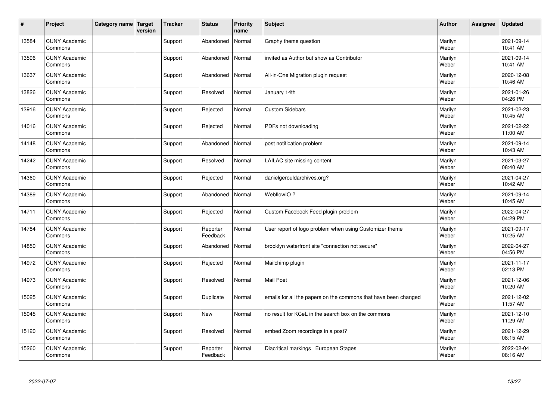| #     | Project                         | Category name Target | version | <b>Tracker</b> | <b>Status</b>        | <b>Priority</b><br>name | <b>Subject</b>                                                  | <b>Author</b>    | <b>Assignee</b> | <b>Updated</b>         |
|-------|---------------------------------|----------------------|---------|----------------|----------------------|-------------------------|-----------------------------------------------------------------|------------------|-----------------|------------------------|
| 13584 | <b>CUNY Academic</b><br>Commons |                      |         | Support        | Abandoned            | Normal                  | Graphy theme question                                           | Marilyn<br>Weber |                 | 2021-09-14<br>10:41 AM |
| 13596 | <b>CUNY Academic</b><br>Commons |                      |         | Support        | Abandoned            | Normal                  | invited as Author but show as Contributor                       | Marilyn<br>Weber |                 | 2021-09-14<br>10:41 AM |
| 13637 | <b>CUNY Academic</b><br>Commons |                      |         | Support        | Abandoned            | Normal                  | All-in-One Migration plugin request                             | Marilyn<br>Weber |                 | 2020-12-08<br>10:46 AM |
| 13826 | <b>CUNY Academic</b><br>Commons |                      |         | Support        | Resolved             | Normal                  | January 14th                                                    | Marilyn<br>Weber |                 | 2021-01-26<br>04:26 PM |
| 13916 | <b>CUNY Academic</b><br>Commons |                      |         | Support        | Rejected             | Normal                  | <b>Custom Sidebars</b>                                          | Marilyn<br>Weber |                 | 2021-02-23<br>10:45 AM |
| 14016 | <b>CUNY Academic</b><br>Commons |                      |         | Support        | Rejected             | Normal                  | PDFs not downloading                                            | Marilyn<br>Weber |                 | 2021-02-22<br>11:00 AM |
| 14148 | <b>CUNY Academic</b><br>Commons |                      |         | Support        | Abandoned            | Normal                  | post notification problem                                       | Marilyn<br>Weber |                 | 2021-09-14<br>10:43 AM |
| 14242 | <b>CUNY Academic</b><br>Commons |                      |         | Support        | Resolved             | Normal                  | LAILAC site missing content                                     | Marilyn<br>Weber |                 | 2021-03-27<br>08:40 AM |
| 14360 | <b>CUNY Academic</b><br>Commons |                      |         | Support        | Rejected             | Normal                  | danielgerouldarchives.org?                                      | Marilyn<br>Weber |                 | 2021-04-27<br>10:42 AM |
| 14389 | <b>CUNY Academic</b><br>Commons |                      |         | Support        | Abandoned            | Normal                  | WebflowIO?                                                      | Marilyn<br>Weber |                 | 2021-09-14<br>10:45 AM |
| 14711 | <b>CUNY Academic</b><br>Commons |                      |         | Support        | Rejected             | Normal                  | Custom Facebook Feed plugin problem                             | Marilyn<br>Weber |                 | 2022-04-27<br>04:29 PM |
| 14784 | <b>CUNY Academic</b><br>Commons |                      |         | Support        | Reporter<br>Feedback | Normal                  | User report of logo problem when using Customizer theme         | Marilyn<br>Weber |                 | 2021-09-17<br>10:25 AM |
| 14850 | <b>CUNY Academic</b><br>Commons |                      |         | Support        | Abandoned            | Normal                  | brooklyn waterfront site "connection not secure"                | Marilyn<br>Weber |                 | 2022-04-27<br>04:56 PM |
| 14972 | <b>CUNY Academic</b><br>Commons |                      |         | Support        | Rejected             | Normal                  | Mailchimp plugin                                                | Marilyn<br>Weber |                 | 2021-11-17<br>02:13 PM |
| 14973 | <b>CUNY Academic</b><br>Commons |                      |         | Support        | Resolved             | Normal                  | Mail Poet                                                       | Marilyn<br>Weber |                 | 2021-12-06<br>10:20 AM |
| 15025 | <b>CUNY Academic</b><br>Commons |                      |         | Support        | Duplicate            | Normal                  | emails for all the papers on the commons that have been changed | Marilyn<br>Weber |                 | 2021-12-02<br>11:57 AM |
| 15045 | <b>CUNY Academic</b><br>Commons |                      |         | Support        | New                  | Normal                  | no result for KCeL in the search box on the commons             | Marilyn<br>Weber |                 | 2021-12-10<br>11:29 AM |
| 15120 | <b>CUNY Academic</b><br>Commons |                      |         | Support        | Resolved             | Normal                  | embed Zoom recordings in a post?                                | Marilyn<br>Weber |                 | 2021-12-29<br>08:15 AM |
| 15260 | <b>CUNY Academic</b><br>Commons |                      |         | Support        | Reporter<br>Feedback | Normal                  | Diacritical markings   European Stages                          | Marilyn<br>Weber |                 | 2022-02-04<br>08:16 AM |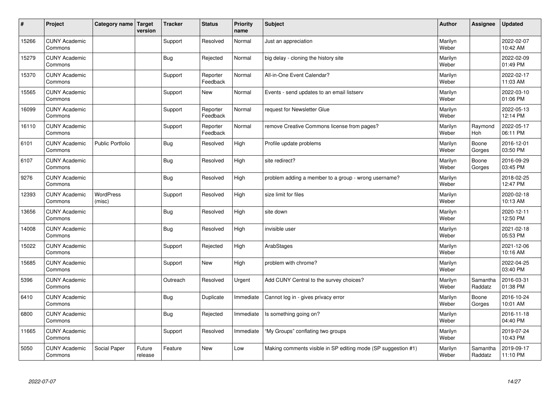| #     | Project                         | Category name   Target     | version           | <b>Tracker</b> | <b>Status</b>        | <b>Priority</b><br>name | <b>Subject</b>                                                | <b>Author</b>    | Assignee            | <b>Updated</b>         |
|-------|---------------------------------|----------------------------|-------------------|----------------|----------------------|-------------------------|---------------------------------------------------------------|------------------|---------------------|------------------------|
| 15266 | <b>CUNY Academic</b><br>Commons |                            |                   | Support        | Resolved             | Normal                  | Just an appreciation                                          | Marilyn<br>Weber |                     | 2022-02-07<br>10:42 AM |
| 15279 | <b>CUNY Academic</b><br>Commons |                            |                   | <b>Bug</b>     | Rejected             | Normal                  | big delay - cloning the history site                          | Marilyn<br>Weber |                     | 2022-02-09<br>01:49 PM |
| 15370 | <b>CUNY Academic</b><br>Commons |                            |                   | Support        | Reporter<br>Feedback | Normal                  | All-in-One Event Calendar?                                    | Marilyn<br>Weber |                     | 2022-02-17<br>11:03 AM |
| 15565 | <b>CUNY Academic</b><br>Commons |                            |                   | Support        | <b>New</b>           | Normal                  | Events - send updates to an email listserv                    | Marilyn<br>Weber |                     | 2022-03-10<br>01:06 PM |
| 16099 | <b>CUNY Academic</b><br>Commons |                            |                   | Support        | Reporter<br>Feedback | Normal                  | request for Newsletter Glue                                   | Marilyn<br>Weber |                     | 2022-05-13<br>12:14 PM |
| 16110 | <b>CUNY Academic</b><br>Commons |                            |                   | Support        | Reporter<br>Feedback | Normal                  | remove Creative Commons license from pages?                   | Marilyn<br>Weber | Raymond<br>Hoh      | 2022-05-17<br>06:11 PM |
| 6101  | <b>CUNY Academic</b><br>Commons | <b>Public Portfolio</b>    |                   | Bug            | Resolved             | High                    | Profile update problems                                       | Marilyn<br>Weber | Boone<br>Gorges     | 2016-12-01<br>03:50 PM |
| 6107  | <b>CUNY Academic</b><br>Commons |                            |                   | <b>Bug</b>     | Resolved             | High                    | site redirect?                                                | Marilyn<br>Weber | Boone<br>Gorges     | 2016-09-29<br>03:45 PM |
| 9276  | <b>CUNY Academic</b><br>Commons |                            |                   | <b>Bug</b>     | Resolved             | High                    | problem adding a member to a group - wrong username?          | Marilyn<br>Weber |                     | 2018-02-25<br>12:47 PM |
| 12393 | <b>CUNY Academic</b><br>Commons | <b>WordPress</b><br>(misc) |                   | Support        | Resolved             | High                    | size limit for files                                          | Marilyn<br>Weber |                     | 2020-02-18<br>10:13 AM |
| 13656 | <b>CUNY Academic</b><br>Commons |                            |                   | Bug            | Resolved             | High                    | site down                                                     | Marilyn<br>Weber |                     | 2020-12-11<br>12:50 PM |
| 14008 | <b>CUNY Academic</b><br>Commons |                            |                   | <b>Bug</b>     | Resolved             | High                    | invisible user                                                | Marilyn<br>Weber |                     | 2021-02-18<br>05:53 PM |
| 15022 | <b>CUNY Academic</b><br>Commons |                            |                   | Support        | Rejected             | High                    | ArabStages                                                    | Marilyn<br>Weber |                     | 2021-12-06<br>10:16 AM |
| 15685 | <b>CUNY Academic</b><br>Commons |                            |                   | Support        | <b>New</b>           | High                    | problem with chrome?                                          | Marilyn<br>Weber |                     | 2022-04-25<br>03:40 PM |
| 5396  | <b>CUNY Academic</b><br>Commons |                            |                   | Outreach       | Resolved             | Urgent                  | Add CUNY Central to the survey choices?                       | Marilyn<br>Weber | Samantha<br>Raddatz | 2016-03-31<br>01:38 PM |
| 6410  | <b>CUNY Academic</b><br>Commons |                            |                   | Bug            | Duplicate            | Immediate               | Cannot log in - gives privacy error                           | Marilyn<br>Weber | Boone<br>Gorges     | 2016-10-24<br>10:01 AM |
| 6800  | <b>CUNY Academic</b><br>Commons |                            |                   | <b>Bug</b>     | Rejected             | Immediate               | Is something going on?                                        | Marilyn<br>Weber |                     | 2016-11-18<br>04:40 PM |
| 11665 | <b>CUNY Academic</b><br>Commons |                            |                   | Support        | Resolved             | Immediate               | 'My Groups" conflating two groups                             | Marilyn<br>Weber |                     | 2019-07-24<br>10:43 PM |
| 5050  | <b>CUNY Academic</b><br>Commons | Social Paper               | Future<br>release | Feature        | <b>New</b>           | Low                     | Making comments visible in SP editing mode (SP suggestion #1) | Marilyn<br>Weber | Samantha<br>Raddatz | 2019-09-17<br>11:10 PM |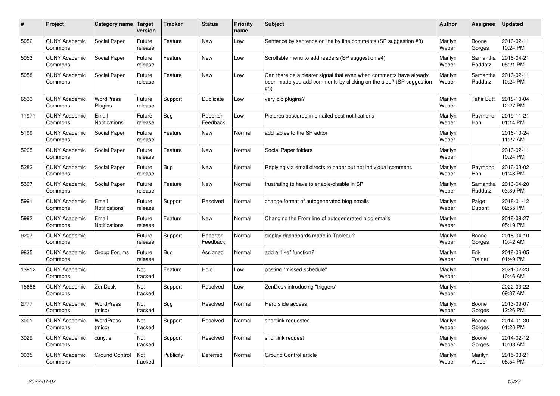| $\#$  | Project                         | Category name                 | <b>Target</b><br>version | <b>Tracker</b> | <b>Status</b>        | <b>Priority</b><br>name | Subject                                                                                                                                         | Author           | Assignee            | <b>Updated</b>         |
|-------|---------------------------------|-------------------------------|--------------------------|----------------|----------------------|-------------------------|-------------------------------------------------------------------------------------------------------------------------------------------------|------------------|---------------------|------------------------|
| 5052  | <b>CUNY Academic</b><br>Commons | Social Paper                  | Future<br>release        | Feature        | New                  | Low                     | Sentence by sentence or line by line comments (SP suggestion #3)                                                                                | Marilyn<br>Weber | Boone<br>Gorges     | 2016-02-11<br>10:24 PM |
| 5053  | <b>CUNY Academic</b><br>Commons | Social Paper                  | Future<br>release        | Feature        | New                  | Low                     | Scrollable menu to add readers (SP suggestion #4)                                                                                               | Marilyn<br>Weber | Samantha<br>Raddatz | 2016-04-21<br>05:21 PM |
| 5058  | <b>CUNY Academic</b><br>Commons | Social Paper                  | Future<br>release        | Feature        | New                  | Low                     | Can there be a clearer signal that even when comments have already<br>been made you add comments by clicking on the side? (SP suggestion<br>#5) | Marilyn<br>Weber | Samantha<br>Raddatz | 2016-02-11<br>10:24 PM |
| 6533  | <b>CUNY Academic</b><br>Commons | WordPress<br>Plugins          | Future<br>release        | Support        | Duplicate            | Low                     | very old plugins?                                                                                                                               | Marilyn<br>Weber | <b>Tahir Butt</b>   | 2018-10-04<br>12:27 PM |
| 11971 | <b>CUNY Academic</b><br>Commons | Email<br>Notifications        | Future<br>release        | Bug            | Reporter<br>Feedback | Low                     | Pictures obscured in emailed post notifications                                                                                                 | Marilyn<br>Weber | Raymond<br>Hoh      | 2019-11-21<br>01:14 PM |
| 5199  | <b>CUNY Academic</b><br>Commons | Social Paper                  | Future<br>release        | Feature        | New                  | Normal                  | add tables to the SP editor                                                                                                                     | Marilyn<br>Weber |                     | 2016-10-24<br>11:27 AM |
| 5205  | <b>CUNY Academic</b><br>Commons | Social Paper                  | Future<br>release        | Feature        | New                  | Normal                  | Social Paper folders                                                                                                                            | Marilyn<br>Weber |                     | 2016-02-11<br>10:24 PM |
| 5282  | <b>CUNY Academic</b><br>Commons | Social Paper                  | Future<br>release        | Bug            | New                  | Normal                  | Replying via email directs to paper but not individual comment.                                                                                 | Marilyn<br>Weber | Raymond<br>Hoh      | 2016-03-02<br>01:48 PM |
| 5397  | <b>CUNY Academic</b><br>Commons | Social Paper                  | Future<br>release        | Feature        | New                  | Normal                  | frustrating to have to enable/disable in SP                                                                                                     | Marilyn<br>Weber | Samantha<br>Raddatz | 2016-04-20<br>03:39 PM |
| 5991  | <b>CUNY Academic</b><br>Commons | Email<br>Notifications        | Future<br>release        | Support        | Resolved             | Normal                  | change format of autogenerated blog emails                                                                                                      | Marilyn<br>Weber | Paige<br>Dupont     | 2018-01-12<br>02:55 PM |
| 5992  | <b>CUNY Academic</b><br>Commons | Email<br><b>Notifications</b> | Future<br>release        | Feature        | New                  | Normal                  | Changing the From line of autogenerated blog emails                                                                                             | Marilyn<br>Weber |                     | 2018-09-27<br>05:19 PM |
| 9207  | <b>CUNY Academic</b><br>Commons |                               | Future<br>release        | Support        | Reporter<br>Feedback | Normal                  | display dashboards made in Tableau?                                                                                                             | Marilyn<br>Weber | Boone<br>Gorges     | 2018-04-10<br>10:42 AM |
| 9835  | <b>CUNY Academic</b><br>Commons | Group Forums                  | Future<br>release        | <b>Bug</b>     | Assigned             | Normal                  | add a "like" function?                                                                                                                          | Marilyn<br>Weber | Erik<br>Trainer     | 2018-06-05<br>01:49 PM |
| 13912 | <b>CUNY Academic</b><br>Commons |                               | Not<br>tracked           | Feature        | Hold                 | Low                     | posting "missed schedule"                                                                                                                       | Marilyn<br>Weber |                     | 2021-02-23<br>10:46 AM |
| 15686 | <b>CUNY Academic</b><br>Commons | ZenDesk                       | Not<br>tracked           | Support        | Resolved             | Low                     | ZenDesk introducing "triggers"                                                                                                                  | Marilyn<br>Weber |                     | 2022-03-22<br>09:37 AM |
| 2777  | <b>CUNY Academic</b><br>Commons | WordPress<br>(misc)           | Not<br>tracked           | Bug            | Resolved             | Normal                  | Hero slide access                                                                                                                               | Marilyn<br>Weber | Boone<br>Gorges     | 2013-09-07<br>12:26 PM |
| 3001  | <b>CUNY Academic</b><br>Commons | WordPress<br>(misc)           | Not<br>tracked           | Support        | Resolved             | Normal                  | shortlink requested                                                                                                                             | Marilyn<br>Weber | Boone<br>Gorges     | 2014-01-30<br>01:26 PM |
| 3029  | <b>CUNY Academic</b><br>Commons | cuny.is                       | Not<br>tracked           | Support        | Resolved             | Normal                  | shortlink request                                                                                                                               | Marilyn<br>Weber | Boone<br>Gorges     | 2014-02-12<br>10:03 AM |
| 3035  | <b>CUNY Academic</b><br>Commons | <b>Ground Control</b>         | Not<br>tracked           | Publicity      | Deferred             | Normal                  | Ground Control article                                                                                                                          | Marilyn<br>Weber | Marilyn<br>Weber    | 2015-03-21<br>08:54 PM |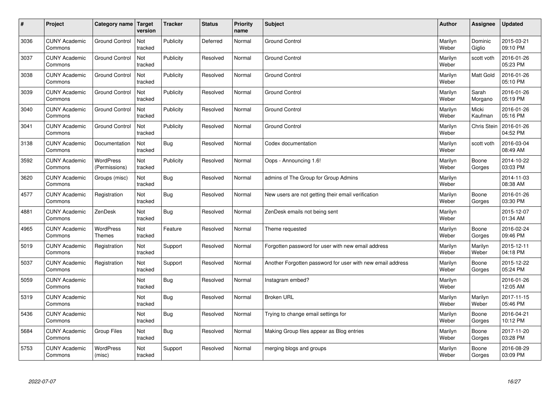| $\sharp$ | Project                         | Category name   Target     | version        | <b>Tracker</b> | <b>Status</b> | Priority<br>name | <b>Subject</b>                                             | <b>Author</b>    | <b>Assignee</b>   | <b>Updated</b>         |
|----------|---------------------------------|----------------------------|----------------|----------------|---------------|------------------|------------------------------------------------------------|------------------|-------------------|------------------------|
| 3036     | <b>CUNY Academic</b><br>Commons | <b>Ground Control</b>      | Not<br>tracked | Publicity      | Deferred      | Normal           | <b>Ground Control</b>                                      | Marilyn<br>Weber | Dominic<br>Giglio | 2015-03-21<br>09:10 PM |
| 3037     | <b>CUNY Academic</b><br>Commons | <b>Ground Control</b>      | Not<br>tracked | Publicity      | Resolved      | Normal           | <b>Ground Control</b>                                      | Marilyn<br>Weber | scott voth        | 2016-01-26<br>05:23 PM |
| 3038     | <b>CUNY Academic</b><br>Commons | <b>Ground Control</b>      | Not<br>tracked | Publicity      | Resolved      | Normal           | <b>Ground Control</b>                                      | Marilyn<br>Weber | <b>Matt Gold</b>  | 2016-01-26<br>05:10 PM |
| 3039     | <b>CUNY Academic</b><br>Commons | <b>Ground Control</b>      | Not<br>tracked | Publicity      | Resolved      | Normal           | <b>Ground Control</b>                                      | Marilyn<br>Weber | Sarah<br>Morgano  | 2016-01-26<br>05:19 PM |
| 3040     | <b>CUNY Academic</b><br>Commons | <b>Ground Control</b>      | Not<br>tracked | Publicity      | Resolved      | Normal           | <b>Ground Control</b>                                      | Marilyn<br>Weber | Micki<br>Kaufman  | 2016-01-26<br>05:16 PM |
| 3041     | <b>CUNY Academic</b><br>Commons | <b>Ground Control</b>      | Not<br>tracked | Publicity      | Resolved      | Normal           | <b>Ground Control</b>                                      | Marilyn<br>Weber | Chris Stein       | 2016-01-26<br>04:52 PM |
| 3138     | <b>CUNY Academic</b><br>Commons | Documentation              | Not<br>tracked | Bug            | Resolved      | Normal           | Codex documentation                                        | Marilyn<br>Weber | scott voth        | 2016-03-04<br>08:49 AM |
| 3592     | <b>CUNY Academic</b><br>Commons | WordPress<br>(Permissions) | Not<br>tracked | Publicity      | Resolved      | Normal           | Oops - Announcing 1.6!                                     | Marilyn<br>Weber | Boone<br>Gorges   | 2014-10-22<br>03:03 PM |
| 3620     | <b>CUNY Academic</b><br>Commons | Groups (misc)              | Not<br>tracked | Bug            | Resolved      | Normal           | admins of The Group for Group Admins                       | Marilyn<br>Weber |                   | 2014-11-03<br>08:38 AM |
| 4577     | <b>CUNY Academic</b><br>Commons | Registration               | Not<br>tracked | Bug            | Resolved      | Normal           | New users are not getting their email verification         | Marilyn<br>Weber | Boone<br>Gorges   | 2016-01-26<br>03:30 PM |
| 4881     | <b>CUNY Academic</b><br>Commons | ZenDesk                    | Not<br>tracked | Bug            | Resolved      | Normal           | ZenDesk emails not being sent                              | Marilyn<br>Weber |                   | 2015-12-07<br>01:34 AM |
| 4965     | <b>CUNY Academic</b><br>Commons | WordPress<br><b>Themes</b> | Not<br>tracked | Feature        | Resolved      | Normal           | Theme requested                                            | Marilyn<br>Weber | Boone<br>Gorges   | 2016-02-24<br>09:46 PM |
| 5019     | <b>CUNY Academic</b><br>Commons | Registration               | Not<br>tracked | Support        | Resolved      | Normal           | Forgotten password for user with new email address         | Marilyn<br>Weber | Marilyn<br>Weber  | 2015-12-11<br>04:18 PM |
| 5037     | <b>CUNY Academic</b><br>Commons | Registration               | Not<br>tracked | Support        | Resolved      | Normal           | Another Forgotten password for user with new email address | Marilyn<br>Weber | Boone<br>Gorges   | 2015-12-22<br>05:24 PM |
| 5059     | <b>CUNY Academic</b><br>Commons |                            | Not<br>tracked | Bug            | Resolved      | Normal           | Instagram embed?                                           | Marilyn<br>Weber |                   | 2016-01-26<br>12:05 AM |
| 5319     | <b>CUNY Academic</b><br>Commons |                            | Not<br>tracked | Bug            | Resolved      | Normal           | <b>Broken URL</b>                                          | Marilyn<br>Weber | Marilyn<br>Weber  | 2017-11-15<br>05:46 PM |
| 5436     | <b>CUNY Academic</b><br>Commons |                            | Not<br>tracked | Bug            | Resolved      | Normal           | Trying to change email settings for                        | Marilyn<br>Weber | Boone<br>Gorges   | 2016-04-21<br>10:12 PM |
| 5684     | <b>CUNY Academic</b><br>Commons | <b>Group Files</b>         | Not<br>tracked | Bug            | Resolved      | Normal           | Making Group files appear as Blog entries                  | Marilyn<br>Weber | Boone<br>Gorges   | 2017-11-20<br>03:28 PM |
| 5753     | <b>CUNY Academic</b><br>Commons | <b>WordPress</b><br>(misc) | Not<br>tracked | Support        | Resolved      | Normal           | merging blogs and groups                                   | Marilyn<br>Weber | Boone<br>Gorges   | 2016-08-29<br>03:09 PM |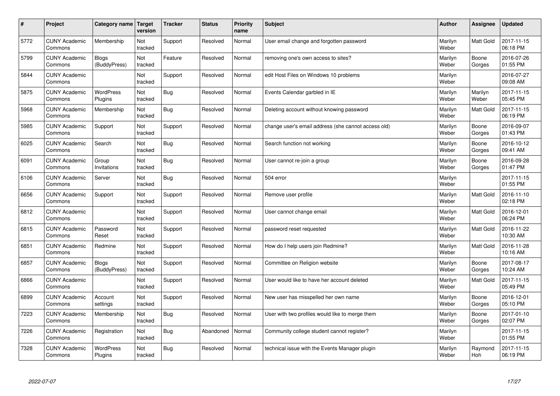| $\#$ | Project                         | Category name   Target       | version        | <b>Tracker</b> | <b>Status</b> | Priority<br>name | <b>Subject</b>                                      | <b>Author</b>    | <b>Assignee</b>  | <b>Updated</b>         |
|------|---------------------------------|------------------------------|----------------|----------------|---------------|------------------|-----------------------------------------------------|------------------|------------------|------------------------|
| 5772 | <b>CUNY Academic</b><br>Commons | Membership                   | Not<br>tracked | Support        | Resolved      | Normal           | User email change and forgotten password            | Marilyn<br>Weber | <b>Matt Gold</b> | 2017-11-15<br>06:18 PM |
| 5799 | <b>CUNY Academic</b><br>Commons | <b>Blogs</b><br>(BuddyPress) | Not<br>tracked | Feature        | Resolved      | Normal           | removing one's own access to sites?                 | Marilyn<br>Weber | Boone<br>Gorges  | 2016-07-26<br>01:55 PM |
| 5844 | <b>CUNY Academic</b><br>Commons |                              | Not<br>tracked | Support        | Resolved      | Normal           | edit Host Files on Windows 10 problems              | Marilyn<br>Weber |                  | 2016-07-27<br>09:08 AM |
| 5875 | <b>CUNY Academic</b><br>Commons | <b>WordPress</b><br>Plugins  | Not<br>tracked | Bug            | Resolved      | Normal           | Events Calendar garbled in IE                       | Marilyn<br>Weber | Marilyn<br>Weber | 2017-11-15<br>05:45 PM |
| 5968 | <b>CUNY Academic</b><br>Commons | Membership                   | Not<br>tracked | Bug            | Resolved      | Normal           | Deleting account without knowing password           | Marilyn<br>Weber | <b>Matt Gold</b> | 2017-11-15<br>06:19 PM |
| 5985 | <b>CUNY Academic</b><br>Commons | Support                      | Not<br>tracked | Support        | Resolved      | Normal           | change user's email address (she cannot access old) | Marilyn<br>Weber | Boone<br>Gorges  | 2016-09-07<br>01:43 PM |
| 6025 | <b>CUNY Academic</b><br>Commons | Search                       | Not<br>tracked | Bug            | Resolved      | Normal           | Search function not working                         | Marilyn<br>Weber | Boone<br>Gorges  | 2016-10-12<br>09:41 AM |
| 6091 | <b>CUNY Academic</b><br>Commons | Group<br>Invitations         | Not<br>tracked | Bug            | Resolved      | Normal           | User cannot re-join a group                         | Marilyn<br>Weber | Boone<br>Gorges  | 2016-09-28<br>01:47 PM |
| 6106 | <b>CUNY Academic</b><br>Commons | Server                       | Not<br>tracked | Bug            | Resolved      | Normal           | 504 error                                           | Marilyn<br>Weber |                  | 2017-11-15<br>01:55 PM |
| 6656 | <b>CUNY Academic</b><br>Commons | Support                      | Not<br>tracked | Support        | Resolved      | Normal           | Remove user profile                                 | Marilyn<br>Weber | Matt Gold        | 2016-11-10<br>02:18 PM |
| 6812 | <b>CUNY Academic</b><br>Commons |                              | Not<br>tracked | Support        | Resolved      | Normal           | User cannot change email                            | Marilyn<br>Weber | <b>Matt Gold</b> | 2016-12-01<br>06:24 PM |
| 6815 | <b>CUNY Academic</b><br>Commons | Password<br>Reset            | Not<br>tracked | Support        | Resolved      | Normal           | password reset requested                            | Marilyn<br>Weber | Matt Gold        | 2016-11-22<br>10:30 AM |
| 6851 | <b>CUNY Academic</b><br>Commons | Redmine                      | Not<br>tracked | Support        | Resolved      | Normal           | How do I help users join Redmine?                   | Marilyn<br>Weber | <b>Matt Gold</b> | 2016-11-28<br>10:16 AM |
| 6857 | <b>CUNY Academic</b><br>Commons | <b>Blogs</b><br>(BuddyPress) | Not<br>tracked | Support        | Resolved      | Normal           | Committee on Religion website                       | Marilyn<br>Weber | Boone<br>Gorges  | 2017-08-17<br>10:24 AM |
| 6866 | <b>CUNY Academic</b><br>Commons |                              | Not<br>tracked | Support        | Resolved      | Normal           | User would like to have her account deleted         | Marilyn<br>Weber | Matt Gold        | 2017-11-15<br>05:49 PM |
| 6899 | <b>CUNY Academic</b><br>Commons | Account<br>settings          | Not<br>tracked | Support        | Resolved      | Normal           | New user has misspelled her own name                | Marilyn<br>Weber | Boone<br>Gorges  | 2016-12-01<br>05:10 PM |
| 7223 | <b>CUNY Academic</b><br>Commons | Membership                   | Not<br>tracked | Bug            | Resolved      | Normal           | User with two profiles would like to merge them     | Marilyn<br>Weber | Boone<br>Gorges  | 2017-01-10<br>02:07 PM |
| 7226 | <b>CUNY Academic</b><br>Commons | Registration                 | Not<br>tracked | Bug            | Abandoned     | Normal           | Community college student cannot register?          | Marilyn<br>Weber |                  | 2017-11-15<br>01:55 PM |
| 7328 | <b>CUNY Academic</b><br>Commons | <b>WordPress</b><br>Plugins  | Not<br>tracked | Bug            | Resolved      | Normal           | technical issue with the Events Manager plugin      | Marilyn<br>Weber | Raymond<br>Hoh   | 2017-11-15<br>06:19 PM |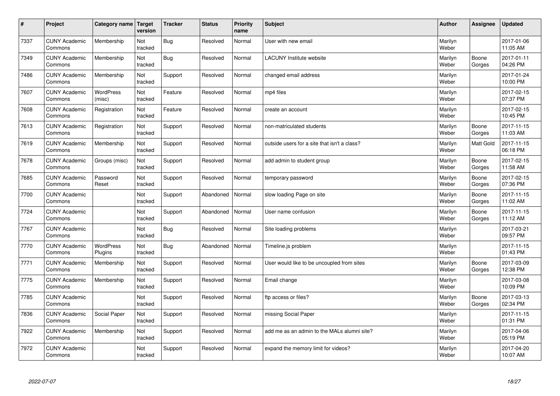| $\sharp$ | Project                         | Category name   Target      | version        | <b>Tracker</b> | <b>Status</b> | <b>Priority</b><br>name | <b>Subject</b>                               | <b>Author</b>    | Assignee        | <b>Updated</b>         |
|----------|---------------------------------|-----------------------------|----------------|----------------|---------------|-------------------------|----------------------------------------------|------------------|-----------------|------------------------|
| 7337     | <b>CUNY Academic</b><br>Commons | Membership                  | Not<br>tracked | Bug            | Resolved      | Normal                  | User with new email                          | Marilyn<br>Weber |                 | 2017-01-06<br>11:05 AM |
| 7349     | <b>CUNY Academic</b><br>Commons | Membership                  | Not<br>tracked | Bug            | Resolved      | Normal                  | <b>LACUNY Institute website</b>              | Marilyn<br>Weber | Boone<br>Gorges | 2017-01-11<br>04:26 PM |
| 7486     | <b>CUNY Academic</b><br>Commons | Membership                  | Not<br>tracked | Support        | Resolved      | Normal                  | changed email address                        | Marilyn<br>Weber |                 | 2017-01-24<br>10:00 PM |
| 7607     | <b>CUNY Academic</b><br>Commons | <b>WordPress</b><br>(misc)  | Not<br>tracked | Feature        | Resolved      | Normal                  | mp4 files                                    | Marilyn<br>Weber |                 | 2017-02-15<br>07:37 PM |
| 7608     | <b>CUNY Academic</b><br>Commons | Registration                | Not<br>tracked | Feature        | Resolved      | Normal                  | create an account                            | Marilyn<br>Weber |                 | 2017-02-15<br>10:45 PM |
| 7613     | <b>CUNY Academic</b><br>Commons | Registration                | Not<br>tracked | Support        | Resolved      | Normal                  | non-matriculated students                    | Marilyn<br>Weber | Boone<br>Gorges | 2017-11-15<br>11:03 AM |
| 7619     | <b>CUNY Academic</b><br>Commons | Membership                  | Not<br>tracked | Support        | Resolved      | Normal                  | outside users for a site that isn't a class? | Marilyn<br>Weber | Matt Gold       | 2017-11-15<br>06:18 PM |
| 7678     | <b>CUNY Academic</b><br>Commons | Groups (misc)               | Not<br>tracked | Support        | Resolved      | Normal                  | add admin to student group                   | Marilyn<br>Weber | Boone<br>Gorges | 2017-02-15<br>11:58 AM |
| 7685     | <b>CUNY Academic</b><br>Commons | Password<br>Reset           | Not<br>tracked | Support        | Resolved      | Normal                  | temporary password                           | Marilyn<br>Weber | Boone<br>Gorges | 2017-02-15<br>07:36 PM |
| 7700     | <b>CUNY Academic</b><br>Commons |                             | Not<br>tracked | Support        | Abandoned     | Normal                  | slow loading Page on site                    | Marilyn<br>Weber | Boone<br>Gorges | 2017-11-15<br>11:02 AM |
| 7724     | <b>CUNY Academic</b><br>Commons |                             | Not<br>tracked | Support        | Abandoned     | Normal                  | User name confusion                          | Marilyn<br>Weber | Boone<br>Gorges | 2017-11-15<br>11:12 AM |
| 7767     | <b>CUNY Academic</b><br>Commons |                             | Not<br>tracked | <b>Bug</b>     | Resolved      | Normal                  | Site loading problems                        | Marilyn<br>Weber |                 | 2017-03-21<br>09:57 PM |
| 7770     | <b>CUNY Academic</b><br>Commons | <b>WordPress</b><br>Plugins | Not<br>tracked | Bug            | Abandoned     | Normal                  | Timeline.js problem                          | Marilyn<br>Weber |                 | 2017-11-15<br>01:43 PM |
| 7771     | <b>CUNY Academic</b><br>Commons | Membership                  | Not<br>tracked | Support        | Resolved      | Normal                  | User would like to be uncoupled from sites   | Marilyn<br>Weber | Boone<br>Gorges | 2017-03-09<br>12:38 PM |
| 7775     | <b>CUNY Academic</b><br>Commons | Membership                  | Not<br>tracked | Support        | Resolved      | Normal                  | Email change                                 | Marilyn<br>Weber |                 | 2017-03-08<br>10:09 PM |
| 7785     | <b>CUNY Academic</b><br>Commons |                             | Not<br>tracked | Support        | Resolved      | Normal                  | ftp access or files?                         | Marilyn<br>Weber | Boone<br>Gorges | 2017-03-13<br>02:34 PM |
| 7836     | <b>CUNY Academic</b><br>Commons | Social Paper                | Not<br>tracked | Support        | Resolved      | Normal                  | missing Social Paper                         | Marilyn<br>Weber |                 | 2017-11-15<br>01:31 PM |
| 7922     | <b>CUNY Academic</b><br>Commons | Membership                  | Not<br>tracked | Support        | Resolved      | Normal                  | add me as an admin to the MALs alumni site?  | Marilyn<br>Weber |                 | 2017-04-06<br>05:19 PM |
| 7972     | <b>CUNY Academic</b><br>Commons |                             | Not<br>tracked | Support        | Resolved      | Normal                  | expand the memory limit for videos?          | Marilyn<br>Weber |                 | 2017-04-20<br>10:07 AM |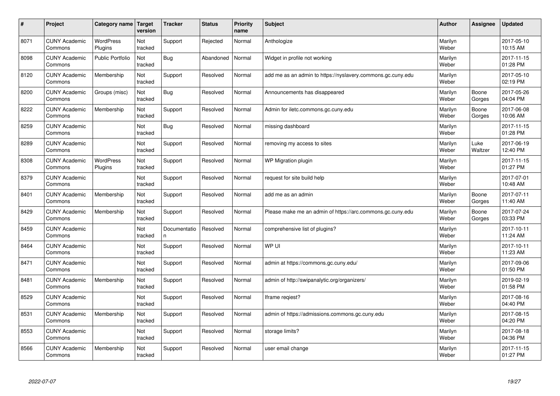| $\#$ | Project                         | Category name   Target      | version        | <b>Tracker</b>     | <b>Status</b> | Priority<br>name | <b>Subject</b>                                              | <b>Author</b>    | <b>Assignee</b> | <b>Updated</b>         |
|------|---------------------------------|-----------------------------|----------------|--------------------|---------------|------------------|-------------------------------------------------------------|------------------|-----------------|------------------------|
| 8071 | <b>CUNY Academic</b><br>Commons | <b>WordPress</b><br>Plugins | Not<br>tracked | Support            | Rejected      | Normal           | Anthologize                                                 | Marilyn<br>Weber |                 | 2017-05-10<br>10:15 AM |
| 8098 | <b>CUNY Academic</b><br>Commons | <b>Public Portfolio</b>     | Not<br>tracked | Bug                | Abandoned     | Normal           | Widget in profile not working                               | Marilyn<br>Weber |                 | 2017-11-15<br>01:28 PM |
| 8120 | <b>CUNY Academic</b><br>Commons | Membership                  | Not<br>tracked | Support            | Resolved      | Normal           | add me as an admin to https://nyslavery.commons.gc.cuny.edu | Marilyn<br>Weber |                 | 2017-05-10<br>02:19 PM |
| 8200 | <b>CUNY Academic</b><br>Commons | Groups (misc)               | Not<br>tracked | Bug                | Resolved      | Normal           | Announcements has disappeared                               | Marilyn<br>Weber | Boone<br>Gorges | 2017-05-26<br>04:04 PM |
| 8222 | <b>CUNY Academic</b><br>Commons | Membership                  | Not<br>tracked | Support            | Resolved      | Normal           | Admin for iletc.commons.gc.cuny.edu                         | Marilyn<br>Weber | Boone<br>Gorges | 2017-06-08<br>10:06 AM |
| 8259 | <b>CUNY Academic</b><br>Commons |                             | Not<br>tracked | Bug                | Resolved      | Normal           | missing dashboard                                           | Marilyn<br>Weber |                 | 2017-11-15<br>01:28 PM |
| 8289 | <b>CUNY Academic</b><br>Commons |                             | Not<br>tracked | Support            | Resolved      | Normal           | removing my access to sites                                 | Marilyn<br>Weber | Luke<br>Waltzer | 2017-06-19<br>12:40 PM |
| 8308 | <b>CUNY Academic</b><br>Commons | WordPress<br>Plugins        | Not<br>tracked | Support            | Resolved      | Normal           | WP Migration plugin                                         | Marilyn<br>Weber |                 | 2017-11-15<br>01:27 PM |
| 8379 | <b>CUNY Academic</b><br>Commons |                             | Not<br>tracked | Support            | Resolved      | Normal           | request for site build help                                 | Marilyn<br>Weber |                 | 2017-07-01<br>10:48 AM |
| 8401 | <b>CUNY Academic</b><br>Commons | Membership                  | Not<br>tracked | Support            | Resolved      | Normal           | add me as an admin                                          | Marilyn<br>Weber | Boone<br>Gorges | 2017-07-11<br>11:40 AM |
| 8429 | <b>CUNY Academic</b><br>Commons | Membership                  | Not<br>tracked | Support            | Resolved      | Normal           | Please make me an admin of https://arc.commons.gc.cuny.edu  | Marilyn<br>Weber | Boone<br>Gorges | 2017-07-24<br>03:33 PM |
| 8459 | <b>CUNY Academic</b><br>Commons |                             | Not<br>tracked | Documentatio<br>n. | Resolved      | Normal           | comprehensive list of plugins?                              | Marilyn<br>Weber |                 | 2017-10-11<br>11:24 AM |
| 8464 | <b>CUNY Academic</b><br>Commons |                             | Not<br>tracked | Support            | Resolved      | Normal           | WP UI                                                       | Marilyn<br>Weber |                 | 2017-10-11<br>11:23 AM |
| 8471 | <b>CUNY Academic</b><br>Commons |                             | Not<br>tracked | Support            | Resolved      | Normal           | admin at https://commons.gc.cuny.edu/                       | Marilyn<br>Weber |                 | 2017-09-06<br>01:50 PM |
| 8481 | <b>CUNY Academic</b><br>Commons | Membership                  | Not<br>tracked | Support            | Resolved      | Normal           | admin of http://swipanalytic.org/organizers/                | Marilyn<br>Weber |                 | 2019-02-19<br>01:58 PM |
| 8529 | <b>CUNY Academic</b><br>Commons |                             | Not<br>tracked | Support            | Resolved      | Normal           | Iframe regiest?                                             | Marilyn<br>Weber |                 | 2017-08-16<br>04:40 PM |
| 8531 | <b>CUNY Academic</b><br>Commons | Membership                  | Not<br>tracked | Support            | Resolved      | Normal           | admin of https://admissions.commons.gc.cuny.edu             | Marilyn<br>Weber |                 | 2017-08-15<br>04:20 PM |
| 8553 | <b>CUNY Academic</b><br>Commons |                             | Not<br>tracked | Support            | Resolved      | Normal           | storage limits?                                             | Marilyn<br>Weber |                 | 2017-08-18<br>04:36 PM |
| 8566 | <b>CUNY Academic</b><br>Commons | Membership                  | Not<br>tracked | Support            | Resolved      | Normal           | user email change                                           | Marilyn<br>Weber |                 | 2017-11-15<br>01:27 PM |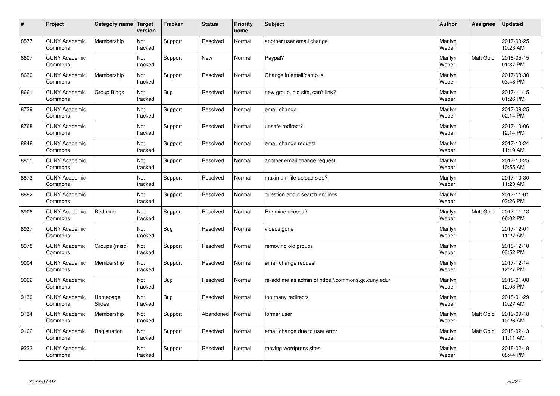| $\sharp$ | Project                         | Category name   Target | version        | <b>Tracker</b> | <b>Status</b> | <b>Priority</b><br>name | <b>Subject</b>                                     | <b>Author</b>    | Assignee         | Updated                |
|----------|---------------------------------|------------------------|----------------|----------------|---------------|-------------------------|----------------------------------------------------|------------------|------------------|------------------------|
| 8577     | <b>CUNY Academic</b><br>Commons | Membership             | Not<br>tracked | Support        | Resolved      | Normal                  | another user email change                          | Marilyn<br>Weber |                  | 2017-08-25<br>10:23 AM |
| 8607     | <b>CUNY Academic</b><br>Commons |                        | Not<br>tracked | Support        | <b>New</b>    | Normal                  | Paypal?                                            | Marilyn<br>Weber | <b>Matt Gold</b> | 2018-05-15<br>01:37 PM |
| 8630     | <b>CUNY Academic</b><br>Commons | Membership             | Not<br>tracked | Support        | Resolved      | Normal                  | Change in email/campus                             | Marilyn<br>Weber |                  | 2017-08-30<br>03:48 PM |
| 8661     | <b>CUNY Academic</b><br>Commons | Group Blogs            | Not<br>tracked | Bug            | Resolved      | Normal                  | new group, old site, can't link?                   | Marilyn<br>Weber |                  | 2017-11-15<br>01:26 PM |
| 8729     | <b>CUNY Academic</b><br>Commons |                        | Not<br>tracked | Support        | Resolved      | Normal                  | email change                                       | Marilyn<br>Weber |                  | 2017-09-25<br>02:14 PM |
| 8768     | <b>CUNY Academic</b><br>Commons |                        | Not<br>tracked | Support        | Resolved      | Normal                  | unsafe redirect?                                   | Marilyn<br>Weber |                  | 2017-10-06<br>12:14 PM |
| 8848     | <b>CUNY Academic</b><br>Commons |                        | Not<br>tracked | Support        | Resolved      | Normal                  | email change request                               | Marilyn<br>Weber |                  | 2017-10-24<br>11:19 AM |
| 8855     | <b>CUNY Academic</b><br>Commons |                        | Not<br>tracked | Support        | Resolved      | Normal                  | another email change request                       | Marilyn<br>Weber |                  | 2017-10-25<br>10:55 AM |
| 8873     | <b>CUNY Academic</b><br>Commons |                        | Not<br>tracked | Support        | Resolved      | Normal                  | maximum file upload size?                          | Marilyn<br>Weber |                  | 2017-10-30<br>11:23 AM |
| 8882     | <b>CUNY Academic</b><br>Commons |                        | Not<br>tracked | Support        | Resolved      | Normal                  | question about search engines                      | Marilyn<br>Weber |                  | 2017-11-01<br>03:26 PM |
| 8906     | <b>CUNY Academic</b><br>Commons | Redmine                | Not<br>tracked | Support        | Resolved      | Normal                  | Redmine access?                                    | Marilyn<br>Weber | Matt Gold        | 2017-11-13<br>06:02 PM |
| 8937     | <b>CUNY Academic</b><br>Commons |                        | Not<br>tracked | Bug            | Resolved      | Normal                  | videos gone                                        | Marilyn<br>Weber |                  | 2017-12-01<br>11:27 AM |
| 8978     | <b>CUNY Academic</b><br>Commons | Groups (misc)          | Not<br>tracked | Support        | Resolved      | Normal                  | removing old groups                                | Marilyn<br>Weber |                  | 2018-12-10<br>03:52 PM |
| 9004     | <b>CUNY Academic</b><br>Commons | Membership             | Not<br>tracked | Support        | Resolved      | Normal                  | email change request                               | Marilyn<br>Weber |                  | 2017-12-14<br>12:27 PM |
| 9062     | <b>CUNY Academic</b><br>Commons |                        | Not<br>tracked | Bug            | Resolved      | Normal                  | re-add me as admin of https://commons.gc.cuny.edu/ | Marilyn<br>Weber |                  | 2018-01-08<br>12:03 PM |
| 9130     | <b>CUNY Academic</b><br>Commons | Homepage<br>Slides     | Not<br>tracked | Bug            | Resolved      | Normal                  | too many redirects                                 | Marilyn<br>Weber |                  | 2018-01-29<br>10:27 AM |
| 9134     | <b>CUNY Academic</b><br>Commons | Membership             | Not<br>tracked | Support        | Abandoned     | Normal                  | former user                                        | Marilyn<br>Weber | <b>Matt Gold</b> | 2019-09-18<br>10:26 AM |
| 9162     | <b>CUNY Academic</b><br>Commons | Registration           | Not<br>tracked | Support        | Resolved      | Normal                  | email change due to user error                     | Marilyn<br>Weber | <b>Matt Gold</b> | 2018-02-13<br>11:11 AM |
| 9223     | <b>CUNY Academic</b><br>Commons |                        | Not<br>tracked | Support        | Resolved      | Normal                  | moving wordpress sites                             | Marilyn<br>Weber |                  | 2018-02-18<br>08:44 PM |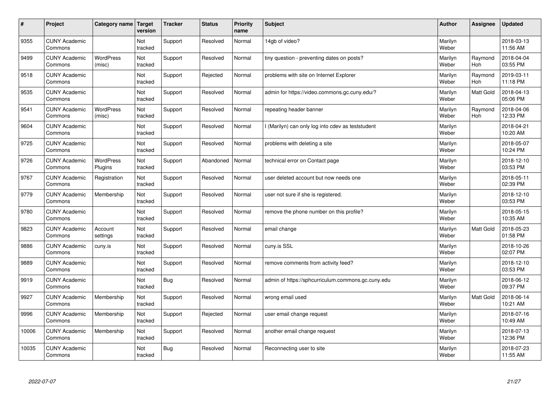| #     | Project                         | Category name               | Target<br>version | <b>Tracker</b> | <b>Status</b> | <b>Priority</b><br>name | <b>Subject</b>                                     | <b>Author</b>    | Assignee              | Updated                |
|-------|---------------------------------|-----------------------------|-------------------|----------------|---------------|-------------------------|----------------------------------------------------|------------------|-----------------------|------------------------|
| 9355  | <b>CUNY Academic</b><br>Commons |                             | Not<br>tracked    | Support        | Resolved      | Normal                  | 14gb of video?                                     | Marilyn<br>Weber |                       | 2018-03-13<br>11:56 AM |
| 9499  | <b>CUNY Academic</b><br>Commons | <b>WordPress</b><br>(misc)  | Not<br>tracked    | Support        | Resolved      | Normal                  | tiny question - preventing dates on posts?         | Marilyn<br>Weber | Raymond<br>Hoh        | 2018-04-04<br>03:55 PM |
| 9518  | <b>CUNY Academic</b><br>Commons |                             | Not<br>tracked    | Support        | Rejected      | Normal                  | problems with site on Internet Explorer            | Marilyn<br>Weber | Raymond<br><b>Hoh</b> | 2019-03-11<br>11:18 PM |
| 9535  | <b>CUNY Academic</b><br>Commons |                             | Not<br>tracked    | Support        | Resolved      | Normal                  | admin for https://video.commons.gc.cuny.edu/?      | Marilyn<br>Weber | Matt Gold             | 2018-04-13<br>05:06 PM |
| 9541  | <b>CUNY Academic</b><br>Commons | <b>WordPress</b><br>(misc)  | Not<br>tracked    | Support        | Resolved      | Normal                  | repeating header banner                            | Marilyn<br>Weber | Raymond<br>Hoh        | 2018-04-06<br>12:33 PM |
| 9604  | <b>CUNY Academic</b><br>Commons |                             | Not<br>tracked    | Support        | Resolved      | Normal                  | I (Marilyn) can only log into cdev as teststudent  | Marilyn<br>Weber |                       | 2018-04-21<br>10:20 AM |
| 9725  | <b>CUNY Academic</b><br>Commons |                             | Not<br>tracked    | Support        | Resolved      | Normal                  | problems with deleting a site                      | Marilyn<br>Weber |                       | 2018-05-07<br>10:24 PM |
| 9726  | <b>CUNY Academic</b><br>Commons | <b>WordPress</b><br>Plugins | Not<br>tracked    | Support        | Abandoned     | Normal                  | technical error on Contact page                    | Marilyn<br>Weber |                       | 2018-12-10<br>03:53 PM |
| 9767  | <b>CUNY Academic</b><br>Commons | Registration                | Not<br>tracked    | Support        | Resolved      | Normal                  | user deleted account but now needs one             | Marilyn<br>Weber |                       | 2018-05-11<br>02:39 PM |
| 9779  | <b>CUNY Academic</b><br>Commons | Membership                  | Not<br>tracked    | Support        | Resolved      | Normal                  | user not sure if she is registered.                | Marilyn<br>Weber |                       | 2018-12-10<br>03:53 PM |
| 9780  | <b>CUNY Academic</b><br>Commons |                             | Not<br>tracked    | Support        | Resolved      | Normal                  | remove the phone number on this profile?           | Marilyn<br>Weber |                       | 2018-05-15<br>10:35 AM |
| 9823  | <b>CUNY Academic</b><br>Commons | Account<br>settings         | Not<br>tracked    | Support        | Resolved      | Normal                  | email change                                       | Marilyn<br>Weber | <b>Matt Gold</b>      | 2018-05-23<br>01:58 PM |
| 9886  | <b>CUNY Academic</b><br>Commons | cuny.is                     | Not<br>tracked    | Support        | Resolved      | Normal                  | cuny.is SSL                                        | Marilyn<br>Weber |                       | 2018-10-26<br>02:07 PM |
| 9889  | <b>CUNY Academic</b><br>Commons |                             | Not<br>tracked    | Support        | Resolved      | Normal                  | remove comments from activity feed?                | Marilyn<br>Weber |                       | 2018-12-10<br>03:53 PM |
| 9919  | <b>CUNY Academic</b><br>Commons |                             | Not<br>tracked    | Bug            | Resolved      | Normal                  | admin of https://sphcurriculum.commons.gc.cuny.edu | Marilyn<br>Weber |                       | 2018-06-12<br>09:37 PM |
| 9927  | <b>CUNY Academic</b><br>Commons | Membership                  | Not<br>tracked    | Support        | Resolved      | Normal                  | wrong email used                                   | Marilyn<br>Weber | <b>Matt Gold</b>      | 2018-06-14<br>10:21 AM |
| 9996  | <b>CUNY Academic</b><br>Commons | Membership                  | Not<br>tracked    | Support        | Rejected      | Normal                  | user email change request                          | Marilyn<br>Weber |                       | 2018-07-16<br>10:49 AM |
| 10006 | <b>CUNY Academic</b><br>Commons | Membership                  | Not<br>tracked    | Support        | Resolved      | Normal                  | another email change request                       | Marilyn<br>Weber |                       | 2018-07-13<br>12:36 PM |
| 10035 | <b>CUNY Academic</b><br>Commons |                             | Not<br>tracked    | Bug            | Resolved      | Normal                  | Reconnecting user to site                          | Marilyn<br>Weber |                       | 2018-07-23<br>11:55 AM |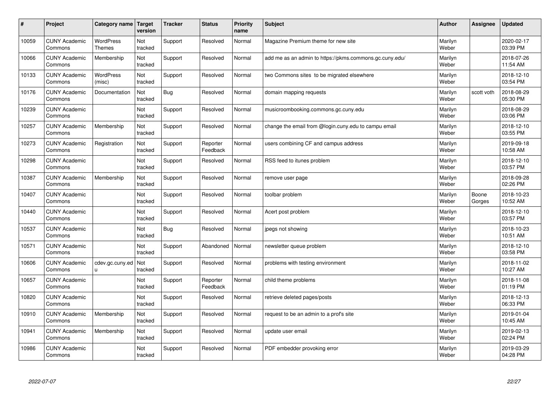| #     | Project                         | Category name                     | <b>Target</b><br>version | <b>Tracker</b> | <b>Status</b>        | <b>Priority</b><br>name | <b>Subject</b>                                          | <b>Author</b>    | Assignee        | <b>Updated</b>         |
|-------|---------------------------------|-----------------------------------|--------------------------|----------------|----------------------|-------------------------|---------------------------------------------------------|------------------|-----------------|------------------------|
| 10059 | <b>CUNY Academic</b><br>Commons | <b>WordPress</b><br><b>Themes</b> | Not<br>tracked           | Support        | Resolved             | Normal                  | Magazine Premium theme for new site                     | Marilyn<br>Weber |                 | 2020-02-17<br>03:39 PM |
| 10066 | <b>CUNY Academic</b><br>Commons | Membership                        | Not<br>tracked           | Support        | Resolved             | Normal                  | add me as an admin to https://pkms.commons.gc.cuny.edu/ | Marilyn<br>Weber |                 | 2018-07-26<br>11:54 AM |
| 10133 | <b>CUNY Academic</b><br>Commons | <b>WordPress</b><br>(misc)        | Not<br>tracked           | Support        | Resolved             | Normal                  | two Commons sites to be migrated elsewhere              | Marilyn<br>Weber |                 | 2018-12-10<br>03:54 PM |
| 10176 | <b>CUNY Academic</b><br>Commons | Documentation                     | Not<br>tracked           | <b>Bug</b>     | Resolved             | Normal                  | domain mapping requests                                 | Marilyn<br>Weber | scott voth      | 2018-08-29<br>05:30 PM |
| 10239 | <b>CUNY Academic</b><br>Commons |                                   | Not<br>tracked           | Support        | Resolved             | Normal                  | musicroombooking.commons.gc.cuny.edu                    | Marilyn<br>Weber |                 | 2018-08-29<br>03:06 PM |
| 10257 | <b>CUNY Academic</b><br>Commons | Membership                        | Not<br>tracked           | Support        | Resolved             | Normal                  | change the email from @login.cuny.edu to campu email    | Marilyn<br>Weber |                 | 2018-12-10<br>03:55 PM |
| 10273 | <b>CUNY Academic</b><br>Commons | Registration                      | Not<br>tracked           | Support        | Reporter<br>Feedback | Normal                  | users combining CF and campus address                   | Marilyn<br>Weber |                 | 2019-09-18<br>10:58 AM |
| 10298 | <b>CUNY Academic</b><br>Commons |                                   | Not<br>tracked           | Support        | Resolved             | Normal                  | RSS feed to itunes problem                              | Marilyn<br>Weber |                 | 2018-12-10<br>03:57 PM |
| 10387 | <b>CUNY Academic</b><br>Commons | Membership                        | Not<br>tracked           | Support        | Resolved             | Normal                  | remove user page                                        | Marilyn<br>Weber |                 | 2018-09-28<br>02:26 PM |
| 10407 | <b>CUNY Academic</b><br>Commons |                                   | Not<br>tracked           | Support        | Resolved             | Normal                  | toolbar problem                                         | Marilyn<br>Weber | Boone<br>Gorges | 2018-10-23<br>10:52 AM |
| 10440 | <b>CUNY Academic</b><br>Commons |                                   | Not<br>tracked           | Support        | Resolved             | Normal                  | Acert post problem                                      | Marilyn<br>Weber |                 | 2018-12-10<br>03:57 PM |
| 10537 | <b>CUNY Academic</b><br>Commons |                                   | Not<br>tracked           | <b>Bug</b>     | Resolved             | Normal                  | jpegs not showing                                       | Marilyn<br>Weber |                 | 2018-10-23<br>10:51 AM |
| 10571 | <b>CUNY Academic</b><br>Commons |                                   | Not<br>tracked           | Support        | Abandoned            | Normal                  | newsletter queue problem                                | Marilyn<br>Weber |                 | 2018-12-10<br>03:58 PM |
| 10606 | <b>CUNY Academic</b><br>Commons | cdev.gc.cuny.ed<br>u              | Not<br>tracked           | Support        | Resolved             | Normal                  | problems with testing environment                       | Marilyn<br>Weber |                 | 2018-11-02<br>10:27 AM |
| 10657 | <b>CUNY Academic</b><br>Commons |                                   | Not<br>tracked           | Support        | Reporter<br>Feedback | Normal                  | child theme problems                                    | Marilyn<br>Weber |                 | 2018-11-08<br>01:19 PM |
| 10820 | <b>CUNY Academic</b><br>Commons |                                   | Not<br>tracked           | Support        | Resolved             | Normal                  | retrieve deleted pages/posts                            | Marilyn<br>Weber |                 | 2018-12-13<br>06:33 PM |
| 10910 | <b>CUNY Academic</b><br>Commons | Membership                        | Not<br>tracked           | Support        | Resolved             | Normal                  | request to be an admin to a prof's site                 | Marilyn<br>Weber |                 | 2019-01-04<br>10:45 AM |
| 10941 | <b>CUNY Academic</b><br>Commons | Membership                        | Not<br>tracked           | Support        | Resolved             | Normal                  | update user email                                       | Marilyn<br>Weber |                 | 2019-02-13<br>02:24 PM |
| 10986 | <b>CUNY Academic</b><br>Commons |                                   | Not<br>tracked           | Support        | Resolved             | Normal                  | PDF embedder provoking error                            | Marilyn<br>Weber |                 | 2019-03-29<br>04:28 PM |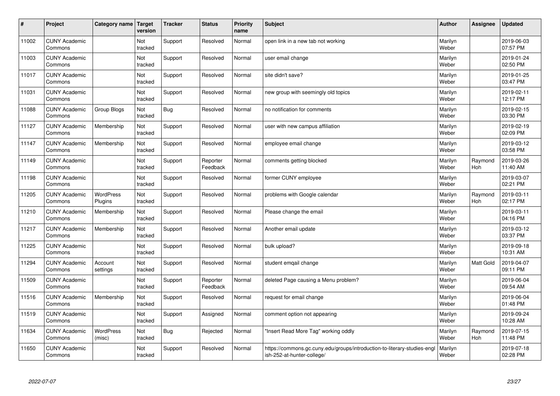| $\pmb{\#}$ | Project                         | Category name               | <b>Target</b><br>version | <b>Tracker</b> | <b>Status</b>        | <b>Priority</b><br>name | <b>Subject</b>                                                                                         | <b>Author</b>    | Assignee         | <b>Updated</b>         |
|------------|---------------------------------|-----------------------------|--------------------------|----------------|----------------------|-------------------------|--------------------------------------------------------------------------------------------------------|------------------|------------------|------------------------|
| 11002      | <b>CUNY Academic</b><br>Commons |                             | Not<br>tracked           | Support        | Resolved             | Normal                  | open link in a new tab not working                                                                     | Marilyn<br>Weber |                  | 2019-06-03<br>07:57 PM |
| 11003      | <b>CUNY Academic</b><br>Commons |                             | Not<br>tracked           | Support        | Resolved             | Normal                  | user email change                                                                                      | Marilyn<br>Weber |                  | 2019-01-24<br>02:50 PM |
| 11017      | <b>CUNY Academic</b><br>Commons |                             | Not<br>tracked           | Support        | Resolved             | Normal                  | site didn't save?                                                                                      | Marilyn<br>Weber |                  | 2019-01-25<br>03:47 PM |
| 11031      | <b>CUNY Academic</b><br>Commons |                             | Not<br>tracked           | Support        | Resolved             | Normal                  | new group with seemingly old topics                                                                    | Marilyn<br>Weber |                  | 2019-02-11<br>12:17 PM |
| 11088      | <b>CUNY Academic</b><br>Commons | Group Blogs                 | Not<br>tracked           | <b>Bug</b>     | Resolved             | Normal                  | no notification for comments                                                                           | Marilyn<br>Weber |                  | 2019-02-15<br>03:30 PM |
| 11127      | <b>CUNY Academic</b><br>Commons | Membership                  | Not<br>tracked           | Support        | Resolved             | Normal                  | user with new campus affiliation                                                                       | Marilyn<br>Weber |                  | 2019-02-19<br>02:09 PM |
| 11147      | <b>CUNY Academic</b><br>Commons | Membership                  | Not<br>tracked           | Support        | Resolved             | Normal                  | employee email change                                                                                  | Marilyn<br>Weber |                  | 2019-03-12<br>03:58 PM |
| 11149      | <b>CUNY Academic</b><br>Commons |                             | Not<br>tracked           | Support        | Reporter<br>Feedback | Normal                  | comments getting blocked                                                                               | Marilyn<br>Weber | Raymond<br>Hoh   | 2019-03-26<br>11:40 AM |
| 11198      | <b>CUNY Academic</b><br>Commons |                             | Not<br>tracked           | Support        | Resolved             | Normal                  | former CUNY employee                                                                                   | Marilyn<br>Weber |                  | 2019-03-07<br>02:21 PM |
| 11205      | <b>CUNY Academic</b><br>Commons | <b>WordPress</b><br>Plugins | Not<br>tracked           | Support        | Resolved             | Normal                  | problems with Google calendar                                                                          | Marilyn<br>Weber | Raymond<br>Hoh   | 2019-03-11<br>02:17 PM |
| 11210      | <b>CUNY Academic</b><br>Commons | Membership                  | Not<br>tracked           | Support        | Resolved             | Normal                  | Please change the email                                                                                | Marilyn<br>Weber |                  | 2019-03-11<br>04:16 PM |
| 11217      | <b>CUNY Academic</b><br>Commons | Membership                  | Not<br>tracked           | Support        | Resolved             | Normal                  | Another email update                                                                                   | Marilyn<br>Weber |                  | 2019-03-12<br>03:37 PM |
| 11225      | <b>CUNY Academic</b><br>Commons |                             | Not<br>tracked           | Support        | Resolved             | Normal                  | bulk upload?                                                                                           | Marilyn<br>Weber |                  | 2019-09-18<br>10:31 AM |
| 11294      | <b>CUNY Academic</b><br>Commons | Account<br>settings         | Not<br>tracked           | Support        | Resolved             | Normal                  | student emgail change                                                                                  | Marilyn<br>Weber | <b>Matt Gold</b> | 2019-04-07<br>09:11 PM |
| 11509      | <b>CUNY Academic</b><br>Commons |                             | Not<br>tracked           | Support        | Reporter<br>Feedback | Normal                  | deleted Page causing a Menu problem?                                                                   | Marilyn<br>Weber |                  | 2019-06-04<br>09:54 AM |
| 11516      | <b>CUNY Academic</b><br>Commons | Membership                  | Not<br>tracked           | Support        | Resolved             | Normal                  | request for email change                                                                               | Marilyn<br>Weber |                  | 2019-06-04<br>01:48 PM |
| 11519      | <b>CUNY Academic</b><br>Commons |                             | Not<br>tracked           | Support        | Assigned             | Normal                  | comment option not appearing                                                                           | Marilyn<br>Weber |                  | 2019-09-24<br>10:28 AM |
| 11634      | <b>CUNY Academic</b><br>Commons | <b>WordPress</b><br>(misc)  | Not<br>tracked           | <b>Bug</b>     | Rejected             | Normal                  | "Insert Read More Tag" working oddly                                                                   | Marilyn<br>Weber | Raymond<br>Hoh   | 2019-07-15<br>11:48 PM |
| 11650      | <b>CUNY Academic</b><br>Commons |                             | Not<br>tracked           | Support        | Resolved             | Normal                  | https://commons.gc.cuny.edu/groups/introduction-to-literary-studies-engl<br>ish-252-at-hunter-college/ | Marilyn<br>Weber |                  | 2019-07-18<br>02:28 PM |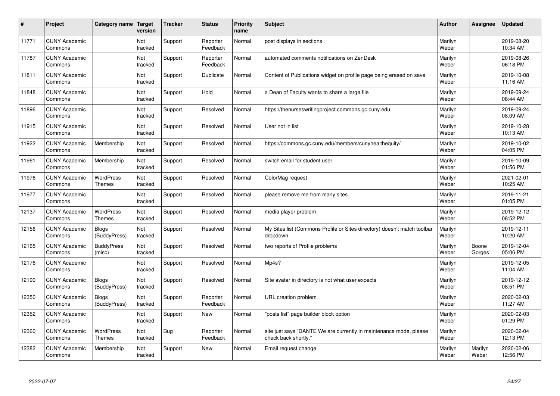| #     | Project                         | Category name                     | <b>Target</b><br>version | <b>Tracker</b> | <b>Status</b>        | Priority<br>name | <b>Subject</b>                                                                             | <b>Author</b>    | Assignee         | <b>Updated</b>         |
|-------|---------------------------------|-----------------------------------|--------------------------|----------------|----------------------|------------------|--------------------------------------------------------------------------------------------|------------------|------------------|------------------------|
| 11771 | <b>CUNY Academic</b><br>Commons |                                   | Not<br>tracked           | Support        | Reporter<br>Feedback | Normal           | post displays in sections                                                                  | Marilyn<br>Weber |                  | 2019-08-20<br>10:34 AM |
| 11787 | <b>CUNY Academic</b><br>Commons |                                   | Not<br>tracked           | Support        | Reporter<br>Feedback | Normal           | automated comments notifications on ZenDesk                                                | Marilyn<br>Weber |                  | 2019-08-26<br>06:18 PM |
| 11811 | <b>CUNY Academic</b><br>Commons |                                   | Not<br>tracked           | Support        | Duplicate            | Normal           | Content of Publications widget on profile page being erased on save                        | Marilyn<br>Weber |                  | 2019-10-08<br>11:16 AM |
| 11848 | <b>CUNY Academic</b><br>Commons |                                   | Not<br>tracked           | Support        | Hold                 | Normal           | a Dean of Faculty wants to share a large file                                              | Marilyn<br>Weber |                  | 2019-09-24<br>08:44 AM |
| 11896 | <b>CUNY Academic</b><br>Commons |                                   | Not<br>tracked           | Support        | Resolved             | Normal           | https://thenurseswritingproject.commons.gc.cuny.edu                                        | Marilyn<br>Weber |                  | 2019-09-24<br>08:09 AM |
| 11915 | <b>CUNY Academic</b><br>Commons |                                   | Not<br>tracked           | Support        | Resolved             | Normal           | User not in list                                                                           | Marilyn<br>Weber |                  | 2019-10-28<br>10:13 AM |
| 11922 | <b>CUNY Academic</b><br>Commons | Membership                        | Not<br>tracked           | Support        | Resolved             | Normal           | https://commons.gc.cuny.edu/members/cunyhealthequity/                                      | Marilyn<br>Weber |                  | 2019-10-02<br>04:05 PM |
| 11961 | <b>CUNY Academic</b><br>Commons | Membership                        | Not<br>tracked           | Support        | Resolved             | Normal           | switch email for student user                                                              | Marilyn<br>Weber |                  | 2019-10-09<br>01:56 PM |
| 11976 | <b>CUNY Academic</b><br>Commons | <b>WordPress</b><br>Themes        | Not<br>tracked           | Support        | Resolved             | Normal           | ColorMag request                                                                           | Marilyn<br>Weber |                  | 2021-02-01<br>10:25 AM |
| 11977 | <b>CUNY Academic</b><br>Commons |                                   | Not<br>tracked           | Support        | Resolved             | Normal           | please remove me from many sites                                                           | Marilyn<br>Weber |                  | 2019-11-21<br>01:05 PM |
| 12137 | <b>CUNY Academic</b><br>Commons | <b>WordPress</b><br><b>Themes</b> | Not<br>tracked           | Support        | Resolved             | Normal           | media player problem                                                                       | Marilyn<br>Weber |                  | 2019-12-12<br>08:52 PM |
| 12156 | <b>CUNY Academic</b><br>Commons | <b>Blogs</b><br>(BuddyPress)      | Not<br>tracked           | Support        | Resolved             | Normal           | My Sites list (Commons Profile or Sites directory) doesn't match toolbar<br>dropdown       | Marilyn<br>Weber |                  | 2019-12-11<br>10:20 AM |
| 12165 | <b>CUNY Academic</b><br>Commons | <b>BuddyPress</b><br>(misc)       | Not<br>tracked           | Support        | Resolved             | Normal           | two reports of Profile problems                                                            | Marilyn<br>Weber | Boone<br>Gorges  | 2019-12-04<br>05:06 PM |
| 12176 | <b>CUNY Academic</b><br>Commons |                                   | Not<br>tracked           | Support        | Resolved             | Normal           | Mp4s?                                                                                      | Marilyn<br>Weber |                  | 2019-12-05<br>11:04 AM |
| 12190 | <b>CUNY Academic</b><br>Commons | Blogs<br>(BuddyPress)             | Not<br>tracked           | Support        | Resolved             | Normal           | Site avatar in directory is not what user expects                                          | Marilyn<br>Weber |                  | 2019-12-12<br>08:51 PM |
| 12350 | <b>CUNY Academic</b><br>Commons | <b>Blogs</b><br>(BuddyPress)      | Not<br>tracked           | Support        | Reporter<br>Feedback | Normal           | URL creation problem                                                                       | Marilyn<br>Weber |                  | 2020-02-03<br>11:27 AM |
| 12352 | <b>CUNY Academic</b><br>Commons |                                   | Not<br>tracked           | Support        | New                  | Normal           | "posts list" page builder block option                                                     | Marilyn<br>Weber |                  | 2020-02-03<br>01:29 PM |
| 12360 | <b>CUNY Academic</b><br>Commons | <b>WordPress</b><br>Themes        | Not<br>tracked           | <b>Bug</b>     | Reporter<br>Feedback | Normal           | site just says "DANTE We are currently in maintenance mode, please<br>check back shortly." | Marilyn<br>Weber |                  | 2020-02-04<br>12:13 PM |
| 12382 | <b>CUNY Academic</b><br>Commons | Membership                        | Not<br>tracked           | Support        | New                  | Normal           | Email request change                                                                       | Marilyn<br>Weber | Marilyn<br>Weber | 2020-02-06<br>12:56 PM |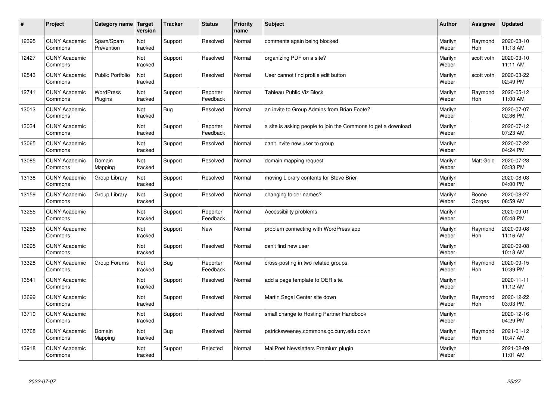| #     | Project                         | Category name               | Target<br>version | <b>Tracker</b> | <b>Status</b>        | <b>Priority</b><br>name | <b>Subject</b>                                                | <b>Author</b>    | Assignee              | <b>Updated</b>         |
|-------|---------------------------------|-----------------------------|-------------------|----------------|----------------------|-------------------------|---------------------------------------------------------------|------------------|-----------------------|------------------------|
| 12395 | <b>CUNY Academic</b><br>Commons | Spam/Spam<br>Prevention     | Not<br>tracked    | Support        | Resolved             | Normal                  | comments again being blocked                                  | Marilyn<br>Weber | Raymond<br><b>Hoh</b> | 2020-03-10<br>11:13 AM |
| 12427 | <b>CUNY Academic</b><br>Commons |                             | Not<br>tracked    | Support        | Resolved             | Normal                  | organizing PDF on a site?                                     | Marilyn<br>Weber | scott voth            | 2020-03-10<br>11:11 AM |
| 12543 | <b>CUNY Academic</b><br>Commons | <b>Public Portfolio</b>     | Not<br>tracked    | Support        | Resolved             | Normal                  | User cannot find profile edit button                          | Marilyn<br>Weber | scott voth            | 2020-03-22<br>02:49 PM |
| 12741 | <b>CUNY Academic</b><br>Commons | <b>WordPress</b><br>Plugins | Not<br>tracked    | Support        | Reporter<br>Feedback | Normal                  | Tableau Public Viz Block                                      | Marilyn<br>Weber | Raymond<br><b>Hoh</b> | 2020-05-12<br>11:00 AM |
| 13013 | <b>CUNY Academic</b><br>Commons |                             | Not<br>tracked    | Bug            | Resolved             | Normal                  | an invite to Group Admins from Brian Foote?!                  | Marilyn<br>Weber |                       | 2020-07-07<br>02:36 PM |
| 13034 | <b>CUNY Academic</b><br>Commons |                             | Not<br>tracked    | Support        | Reporter<br>Feedback | Normal                  | a site is asking people to join the Commons to get a download | Marilyn<br>Weber |                       | 2020-07-12<br>07:23 AM |
| 13065 | <b>CUNY Academic</b><br>Commons |                             | Not<br>tracked    | Support        | Resolved             | Normal                  | can't invite new user to group                                | Marilyn<br>Weber |                       | 2020-07-22<br>04:24 PM |
| 13085 | <b>CUNY Academic</b><br>Commons | Domain<br>Mapping           | Not<br>tracked    | Support        | Resolved             | Normal                  | domain mapping request                                        | Marilyn<br>Weber | Matt Gold             | 2020-07-28<br>03:33 PM |
| 13138 | <b>CUNY Academic</b><br>Commons | Group Library               | Not<br>tracked    | Support        | Resolved             | Normal                  | moving Library contents for Steve Brier                       | Marilyn<br>Weber |                       | 2020-08-03<br>04:00 PM |
| 13159 | <b>CUNY Academic</b><br>Commons | Group Library               | Not<br>tracked    | Support        | Resolved             | Normal                  | changing folder names?                                        | Marilyn<br>Weber | Boone<br>Gorges       | 2020-08-27<br>08:59 AM |
| 13255 | <b>CUNY Academic</b><br>Commons |                             | Not<br>tracked    | Support        | Reporter<br>Feedback | Normal                  | Accessibility problems                                        | Marilyn<br>Weber |                       | 2020-09-01<br>05:48 PM |
| 13286 | <b>CUNY Academic</b><br>Commons |                             | Not<br>tracked    | Support        | <b>New</b>           | Normal                  | problem connecting with WordPress app                         | Marilyn<br>Weber | Raymond<br>Hoh        | 2020-09-08<br>11:16 AM |
| 13295 | <b>CUNY Academic</b><br>Commons |                             | Not<br>tracked    | Support        | Resolved             | Normal                  | can't find new user                                           | Marilyn<br>Weber |                       | 2020-09-08<br>10:18 AM |
| 13328 | <b>CUNY Academic</b><br>Commons | Group Forums                | Not<br>tracked    | Bug            | Reporter<br>Feedback | Normal                  | cross-posting in two related groups                           | Marilyn<br>Weber | Raymond<br>Hoh        | 2020-09-15<br>10:39 PM |
| 13541 | <b>CUNY Academic</b><br>Commons |                             | Not<br>tracked    | Support        | Resolved             | Normal                  | add a page template to OER site.                              | Marilyn<br>Weber |                       | 2020-11-11<br>11:12 AM |
| 13699 | <b>CUNY Academic</b><br>Commons |                             | Not<br>tracked    | Support        | Resolved             | Normal                  | Martin Segal Center site down                                 | Marilyn<br>Weber | Raymond<br>Hoh        | 2020-12-22<br>03:03 PM |
| 13710 | <b>CUNY Academic</b><br>Commons |                             | Not<br>tracked    | Support        | Resolved             | Normal                  | small change to Hosting Partner Handbook                      | Marilyn<br>Weber |                       | 2020-12-16<br>04:29 PM |
| 13768 | <b>CUNY Academic</b><br>Commons | Domain<br>Mapping           | Not<br>tracked    | Bug            | Resolved             | Normal                  | patricksweeney.commons.gc.cuny.edu down                       | Marilyn<br>Weber | Raymond<br>Hoh        | 2021-01-12<br>10:47 AM |
| 13918 | <b>CUNY Academic</b><br>Commons |                             | Not<br>tracked    | Support        | Rejected             | Normal                  | MailPoet Newsletters Premium plugin                           | Marilyn<br>Weber |                       | 2021-02-09<br>11:01 AM |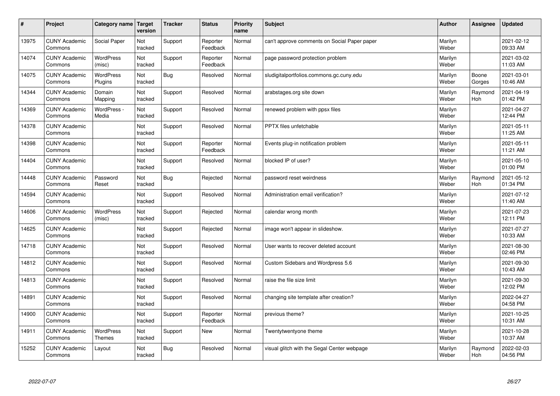| #     | Project                         | Category name   Target            | version        | <b>Tracker</b> | <b>Status</b>        | Priority<br>name | <b>Subject</b>                               | <b>Author</b>    | <b>Assignee</b>       | <b>Updated</b>         |
|-------|---------------------------------|-----------------------------------|----------------|----------------|----------------------|------------------|----------------------------------------------|------------------|-----------------------|------------------------|
| 13975 | <b>CUNY Academic</b><br>Commons | Social Paper                      | Not<br>tracked | Support        | Reporter<br>Feedback | Normal           | can't approve comments on Social Paper paper | Marilyn<br>Weber |                       | 2021-02-12<br>09:33 AM |
| 14074 | <b>CUNY Academic</b><br>Commons | WordPress<br>(misc)               | Not<br>tracked | Support        | Reporter<br>Feedback | Normal           | page password protection problem             | Marilyn<br>Weber |                       | 2021-03-02<br>11:03 AM |
| 14075 | <b>CUNY Academic</b><br>Commons | <b>WordPress</b><br>Plugins       | Not<br>tracked | Bug            | Resolved             | Normal           | sludigitalportfolios.commons.gc.cuny.edu     | Marilyn<br>Weber | Boone<br>Gorges       | 2021-03-01<br>10:46 AM |
| 14344 | <b>CUNY Academic</b><br>Commons | Domain<br>Mapping                 | Not<br>tracked | Support        | Resolved             | Normal           | arabstages.org site down                     | Marilyn<br>Weber | Raymond<br><b>Hoh</b> | 2021-04-19<br>01:42 PM |
| 14369 | <b>CUNY Academic</b><br>Commons | WordPress -<br>Media              | Not<br>tracked | Support        | Resolved             | Normal           | renewed problem with ppsx files              | Marilyn<br>Weber |                       | 2021-04-27<br>12:44 PM |
| 14378 | <b>CUNY Academic</b><br>Commons |                                   | Not<br>tracked | Support        | Resolved             | Normal           | <b>PPTX</b> files unfetchable                | Marilyn<br>Weber |                       | 2021-05-11<br>11:25 AM |
| 14398 | <b>CUNY Academic</b><br>Commons |                                   | Not<br>tracked | Support        | Reporter<br>Feedback | Normal           | Events plug-in notification problem          | Marilyn<br>Weber |                       | 2021-05-11<br>11:21 AM |
| 14404 | <b>CUNY Academic</b><br>Commons |                                   | Not<br>tracked | Support        | Resolved             | Normal           | blocked IP of user?                          | Marilyn<br>Weber |                       | 2021-05-10<br>01:00 PM |
| 14448 | <b>CUNY Academic</b><br>Commons | Password<br>Reset                 | Not<br>tracked | Bug            | Rejected             | Normal           | password reset weirdness                     | Marilyn<br>Weber | Raymond<br>Hoh        | 2021-05-12<br>01:34 PM |
| 14594 | <b>CUNY Academic</b><br>Commons |                                   | Not<br>tracked | Support        | Resolved             | Normal           | Administration email verification?           | Marilyn<br>Weber |                       | 2021-07-12<br>11:40 AM |
| 14606 | <b>CUNY Academic</b><br>Commons | <b>WordPress</b><br>(misc)        | Not<br>tracked | Support        | Rejected             | Normal           | calendar wrong month                         | Marilyn<br>Weber |                       | 2021-07-23<br>12:11 PM |
| 14625 | <b>CUNY Academic</b><br>Commons |                                   | Not<br>tracked | Support        | Rejected             | Normal           | image won't appear in slideshow.             | Marilyn<br>Weber |                       | 2021-07-27<br>10:33 AM |
| 14718 | <b>CUNY Academic</b><br>Commons |                                   | Not<br>tracked | Support        | Resolved             | Normal           | User wants to recover deleted account        | Marilyn<br>Weber |                       | 2021-08-30<br>02:46 PM |
| 14812 | <b>CUNY Academic</b><br>Commons |                                   | Not<br>tracked | Support        | Resolved             | Normal           | Custom Sidebars and Wordpress 5.6            | Marilyn<br>Weber |                       | 2021-09-30<br>10:43 AM |
| 14813 | <b>CUNY Academic</b><br>Commons |                                   | Not<br>tracked | Support        | Resolved             | Normal           | raise the file size limit                    | Marilyn<br>Weber |                       | 2021-09-30<br>12:02 PM |
| 14891 | <b>CUNY Academic</b><br>Commons |                                   | Not<br>tracked | Support        | Resolved             | Normal           | changing site template after creation?       | Marilyn<br>Weber |                       | 2022-04-27<br>04:58 PM |
| 14900 | <b>CUNY Academic</b><br>Commons |                                   | Not<br>tracked | Support        | Reporter<br>Feedback | Normal           | previous theme?                              | Marilyn<br>Weber |                       | 2021-10-25<br>10:31 AM |
| 14911 | <b>CUNY Academic</b><br>Commons | <b>WordPress</b><br><b>Themes</b> | Not<br>tracked | Support        | <b>New</b>           | Normal           | Twentytwentyone theme                        | Marilyn<br>Weber |                       | 2021-10-28<br>10:37 AM |
| 15252 | <b>CUNY Academic</b><br>Commons | Layout                            | Not<br>tracked | Bug            | Resolved             | Normal           | visual glitch with the Segal Center webpage  | Marilyn<br>Weber | Raymond<br>Hoh        | 2022-02-03<br>04:56 PM |